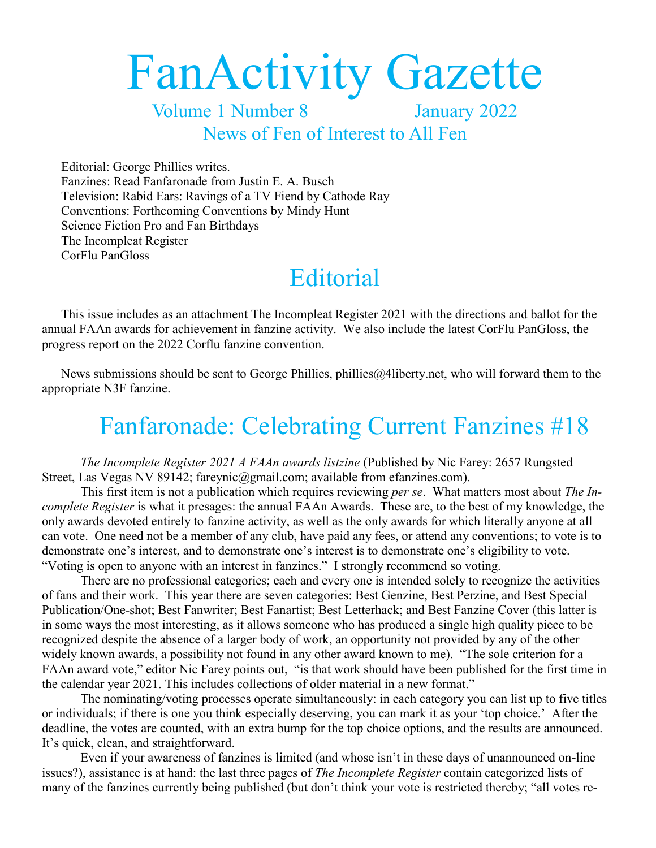# FanActivity Gazette

Volume 1 Number 8 January 2022 News of Fen of Interest to All Fen

Editorial: George Phillies writes. Fanzines: Read Fanfaronade from Justin E. A. Busch Television: Rabid Ears: Ravings of a TV Fiend by Cathode Ray Conventions: Forthcoming Conventions by Mindy Hunt Science Fiction Pro and Fan Birthdays The Incompleat Register CorFlu PanGloss

### **Editorial**

This issue includes as an attachment The Incompleat Register 2021 with the directions and ballot for the annual FAAn awards for achievement in fanzine activity. We also include the latest CorFlu PanGloss, the progress report on the 2022 Corflu fanzine convention.

News submissions should be sent to George Phillies, phillies  $a$  a alignary net, who will forward them to the appropriate N3F fanzine.

### Fanfaronade: Celebrating Current Fanzines #18

*The Incomplete Register 2021 A FAAn awards listzine* (Published by Nic Farey: 2657 Rungsted Street, Las Vegas NV 89142; [fareynic@gmail.com;](mailto:fareynic@gmail.com) available from [efanzines.com\)](http://efanzines.com/).

This first item is not a publication which requires reviewing *per se*. What matters most about *The Incomplete Register* is what it presages: the annual FAAn Awards. These are, to the best of my knowledge, the only awards devoted entirely to fanzine activity, as well as the only awards for which literally anyone at all can vote. One need not be a member of any club, have paid any fees, or attend any conventions; to vote is to demonstrate one's interest, and to demonstrate one's interest is to demonstrate one's eligibility to vote. "Voting is open to anyone with an interest in fanzines." I strongly recommend so voting.

There are no professional categories; each and every one is intended solely to recognize the activities of fans and their work. This year there are seven categories: Best Genzine, Best Perzine, and Best Special Publication/One-shot; Best Fanwriter; Best Fanartist; Best Letterhack; and Best Fanzine Cover (this latter is in some ways the most interesting, as it allows someone who has produced a single high quality piece to be recognized despite the absence of a larger body of work, an opportunity not provided by any of the other widely known awards, a possibility not found in any other award known to me). "The sole criterion for a FAAn award vote," editor Nic Farey points out, "is that work should have been published for the first time in the calendar year 2021. This includes collections of older material in a new format."

The nominating/voting processes operate simultaneously: in each category you can list up to five titles or individuals; if there is one you think especially deserving, you can mark it as your 'top choice.' After the deadline, the votes are counted, with an extra bump for the top choice options, and the results are announced. It's quick, clean, and straightforward.

Even if your awareness of fanzines is limited (and whose isn't in these days of unannounced on-line issues?), assistance is at hand: the last three pages of *The Incomplete Register* contain categorized lists of many of the fanzines currently being published (but don't think your vote is restricted thereby; "all votes re-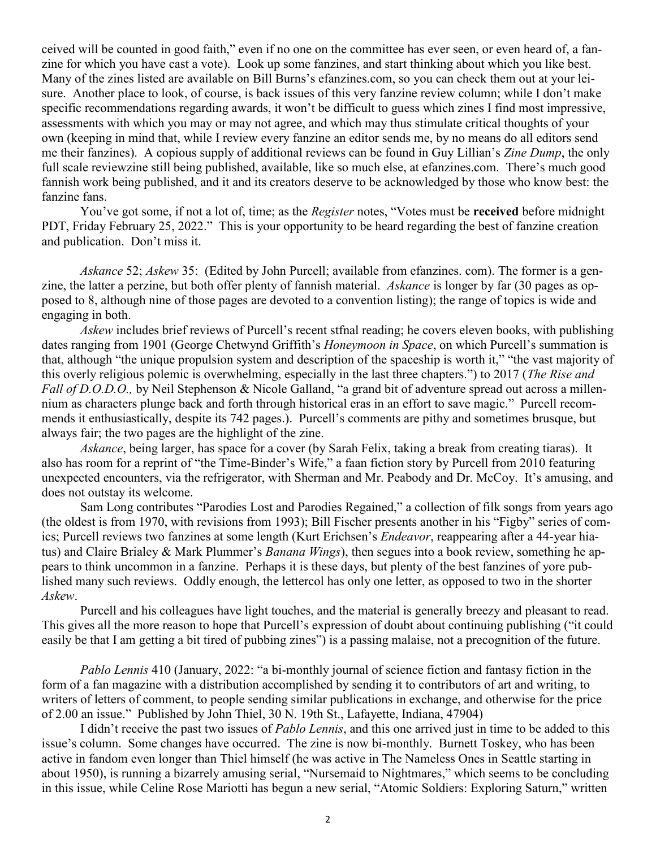ceived will be counted in good faith," even if no one on the committee has ever seen, or even heard of, a fanzine for which you have cast a vote). Look up some fanzines, and start thinking about which you like best. Many of the zines listed are available on Bill Burns's efanzines.com, so you can check them out at your leisure. Another place to look, of course, is back issues of this very fanzine review column; while I don't make specific recommendations regarding awards, it won't be difficult to guess which zines I find most impressive, assessments with which you may or may not agree, and which may thus stimulate critical thoughts of your own (keeping in mind that, while I review every fanzine an editor sends me, by no means do all editors send me their fanzines). A copious supply of additional reviews can be found in Guy Lillian's *Zine Dump*, the only full scale reviewzine still being published, available, like so much else, at efanzines.com. There's much good fannish work being published, and it and its creators deserve to be acknowledged by those who know best: the fanzine fans.

You've got some, if not a lot of, time; as the *Register* notes, "Votes must be **received** before midnight PDT, Friday February 25, 2022." This is your opportunity to be heard regarding the best of fanzine creation and publication. Don't miss it.

*Askance* 52; *Askew* 35: (Edited by John Purcell; available from efanzines. com). The former is a genzine, the latter a perzine, but both offer plenty of fannish material. *Askance* is longer by far (30 pages as opposed to 8, although nine of those pages are devoted to a convention listing); the range of topics is wide and engaging in both.

*Askew* includes brief reviews of Purcell's recent stfnal reading; he covers eleven books, with publishing dates ranging from 1901 (George Chetwynd Griffith's *Honeymoon in Space*, on which Purcell's summation is that, although "the unique propulsion system and description of the spaceship is worth it," "the vast majority of this overly religious polemic is overwhelming, especially in the last three chapters.") to 2017 (*The Rise and Fall of D.O.D.O.*, by Neil Stephenson & Nicole Galland, "a grand bit of adventure spread out across a millennium as characters plunge back and forth through historical eras in an effort to save magic." Purcell recommends it enthusiastically, despite its 742 pages.). Purcell's comments are pithy and sometimes brusque, but always fair; the two pages are the highlight of the zine.

*Askance*, being larger, has space for a cover (by Sarah Felix, taking a break from creating tiaras). It also has room for a reprint of "the Time-Binder's Wife," a faan fiction story by Purcell from 2010 featuring unexpected encounters, via the refrigerator, with Sherman and Mr. Peabody and Dr. McCoy. It's amusing, and does not outstay its welcome.

Sam Long contributes "Parodies Lost and Parodies Regained," a collection of filk songs from years ago (the oldest is from 1970, with revisions from 1993); Bill Fischer presents another in his "Figby" series of comics; Purcell reviews two fanzines at some length (Kurt Erichsen's *Endeavor*, reappearing after a 44-year hiatus) and Claire Brialey & Mark Plummer's *Banana Wings*), then segues into a book review, something he appears to think uncommon in a fanzine. Perhaps it is these days, but plenty of the best fanzines of yore published many such reviews. Oddly enough, the lettercol has only one letter, as opposed to two in the shorter *Askew*.

Purcell and his colleagues have light touches, and the material is generally breezy and pleasant to read. This gives all the more reason to hope that Purcell's expression of doubt about continuing publishing ("it could easily be that I am getting a bit tired of pubbing zines") is a passing malaise, not a precognition of the future.

*Pablo Lennis* 410 (January, 2022: "a bi-monthly journal of science fiction and fantasy fiction in the form of a fan magazine with a distribution accomplished by sending it to contributors of art and writing, to writers of letters of comment, to people sending similar publications in exchange, and otherwise for the price of 2.00 an issue." Published by John Thiel, 30 N. 19th St., Lafayette, Indiana, 47904)

I didn't receive the past two issues of *Pablo Lennis*, and this one arrived just in time to be added to this issue's column. Some changes have occurred. The zine is now bi-monthly. Burnett Toskey, who has been active in fandom even longer than Thiel himself (he was active in The Nameless Ones in Seattle starting in about 1950), is running a bizarrely amusing serial, "Nursemaid to Nightmares," which seems to be concluding in this issue, while Celine Rose Mariotti has begun a new serial, "Atomic Soldiers: Exploring Saturn," written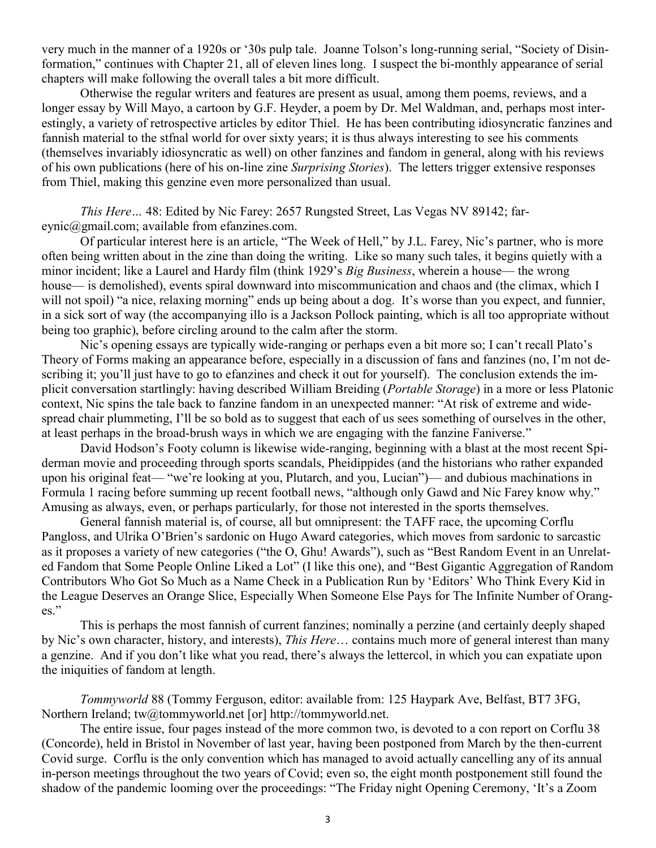very much in the manner of a 1920s or '30s pulp tale. Joanne Tolson's long-running serial, "Society of Disinformation," continues with Chapter 21, all of eleven lines long. I suspect the bi-monthly appearance of serial chapters will make following the overall tales a bit more difficult.

Otherwise the regular writers and features are present as usual, among them poems, reviews, and a longer essay by Will Mayo, a cartoon by G.F. Heyder, a poem by Dr. Mel Waldman, and, perhaps most interestingly, a variety of retrospective articles by editor Thiel. He has been contributing idiosyncratic fanzines and fannish material to the stfnal world for over sixty years; it is thus always interesting to see his comments (themselves invariably idiosyncratic as well) on other fanzines and fandom in general, along with his reviews of his own publications (here of his on-line zine *Surprising Stories*). The letters trigger extensive responses from Thiel, making this genzine even more personalized than usual.

*This Here…* 48: Edited by Nic Farey: 2657 Rungsted Street, Las Vegas NV 89142; [far](mailto:fareynic@gmail.com)[eynic@gmail.com;](mailto:fareynic@gmail.com) available from [efanzines.com.](http://efanzines.com/)

Of particular interest here is an article, "The Week of Hell," by J.L. Farey, Nic's partner, who is more often being written about in the zine than doing the writing. Like so many such tales, it begins quietly with a minor incident; like a Laurel and Hardy film (think 1929's *Big Business*, wherein a house— the wrong house— is demolished), events spiral downward into miscommunication and chaos and (the climax, which I will not spoil) "a nice, relaxing morning" ends up being about a dog. It's worse than you expect, and funnier, in a sick sort of way (the accompanying illo is a Jackson Pollock painting, which is all too appropriate without being too graphic), before circling around to the calm after the storm.

Nic's opening essays are typically wide-ranging or perhaps even a bit more so; I can't recall Plato's Theory of Forms making an appearance before, especially in a discussion of fans and fanzines (no, I'm not describing it; you'll just have to go to efanzines and check it out for yourself). The conclusion extends the implicit conversation startlingly: having described William Breiding (*Portable Storage*) in a more or less Platonic context, Nic spins the tale back to fanzine fandom in an unexpected manner: "At risk of extreme and widespread chair plummeting, I'll be so bold as to suggest that each of us sees something of ourselves in the other, at least perhaps in the broad-brush ways in which we are engaging with the fanzine Faniverse."

David Hodson's Footy column is likewise wide-ranging, beginning with a blast at the most recent Spiderman movie and proceeding through sports scandals, Pheidippides (and the historians who rather expanded upon his original feat— "we're looking at you, Plutarch, and you, Lucian")— and dubious machinations in Formula 1 racing before summing up recent football news, "although only Gawd and Nic Farey know why." Amusing as always, even, or perhaps particularly, for those not interested in the sports themselves.

General fannish material is, of course, all but omnipresent: the TAFF race, the upcoming Corflu Pangloss, and Ulrika O'Brien's sardonic on Hugo Award categories, which moves from sardonic to sarcastic as it proposes a variety of new categories ("the O, Ghu! Awards"), such as "Best Random Event in an Unrelated Fandom that Some People Online Liked a Lot" (I like this one), and "Best Gigantic Aggregation of Random Contributors Who Got So Much as a Name Check in a Publication Run by 'Editors' Who Think Every Kid in the League Deserves an Orange Slice, Especially When Someone Else Pays for The Infinite Number of Oranges."

This is perhaps the most fannish of current fanzines; nominally a perzine (and certainly deeply shaped by Nic's own character, history, and interests), *This Here*… contains much more of general interest than many a genzine. And if you don't like what you read, there's always the lettercol, in which you can expatiate upon the iniquities of fandom at length.

*Tommyworld* 88 (Tommy Ferguson, editor: available from: 125 Haypark Ave, Belfast, BT7 3FG, Northern Ireland; tw@tommyworld.net [or] http://tommyworld.net.

The entire issue, four pages instead of the more common two, is devoted to a con report on Corflu 38 (Concorde), held in Bristol in November of last year, having been postponed from March by the then-current Covid surge. Corflu is the only convention which has managed to avoid actually cancelling any of its annual in-person meetings throughout the two years of Covid; even so, the eight month postponement still found the shadow of the pandemic looming over the proceedings: "The Friday night Opening Ceremony, 'It's a Zoom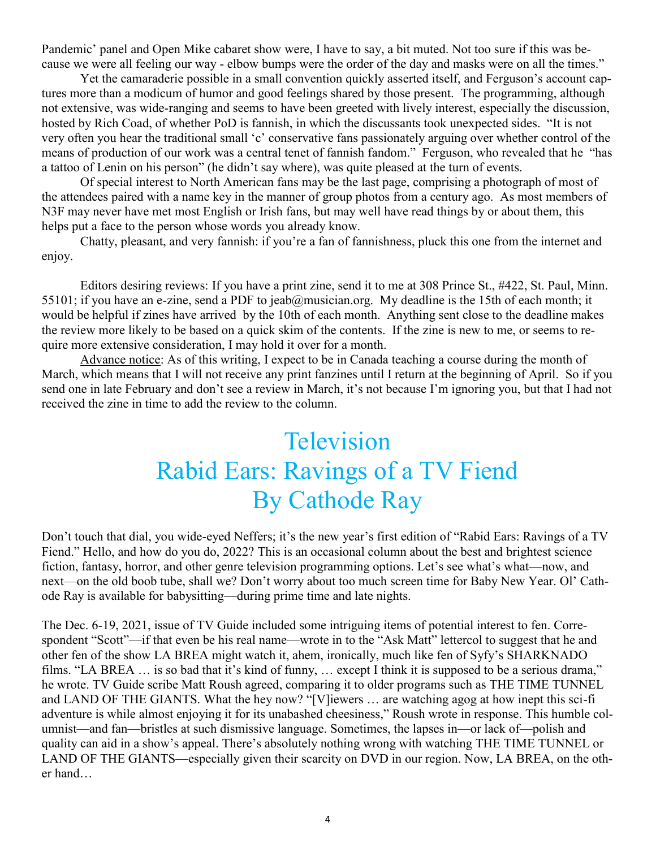Pandemic' panel and Open Mike cabaret show were, I have to say, a bit muted. Not too sure if this was because we were all feeling our way - elbow bumps were the order of the day and masks were on all the times."

Yet the camaraderie possible in a small convention quickly asserted itself, and Ferguson's account captures more than a modicum of humor and good feelings shared by those present. The programming, although not extensive, was wide-ranging and seems to have been greeted with lively interest, especially the discussion, hosted by Rich Coad, of whether PoD is fannish, in which the discussants took unexpected sides. "It is not very often you hear the traditional small 'c' conservative fans passionately arguing over whether control of the means of production of our work was a central tenet of fannish fandom." Ferguson, who revealed that he "has a tattoo of Lenin on his person" (he didn't say where), was quite pleased at the turn of events.

Of special interest to North American fans may be the last page, comprising a photograph of most of the attendees paired with a name key in the manner of group photos from a century ago. As most members of N3F may never have met most English or Irish fans, but may well have read things by or about them, this helps put a face to the person whose words you already know.

Chatty, pleasant, and very fannish: if you're a fan of fannishness, pluck this one from the internet and enjoy.

Editors desiring reviews: If you have a print zine, send it to me at 308 Prince St., #422, St. Paul, Minn. 55101; if you have an e-zine, send a PDF to [jeab@musician.org.](mailto:jeab@musician.org) My deadline is the 15th of each month; it would be helpful if zines have arrived by the 10th of each month. Anything sent close to the deadline makes the review more likely to be based on a quick skim of the contents. If the zine is new to me, or seems to require more extensive consideration, I may hold it over for a month.

Advance notice: As of this writing, I expect to be in Canada teaching a course during the month of March, which means that I will not receive any print fanzines until I return at the beginning of April. So if you send one in late February and don't see a review in March, it's not because I'm ignoring you, but that I had not received the zine in time to add the review to the column.

### Television Rabid Ears: Ravings of a TV Fiend By Cathode Ray

Don't touch that dial, you wide-eyed Neffers; it's the new year's first edition of "Rabid Ears: Ravings of a TV Fiend." Hello, and how do you do, 2022? This is an occasional column about the best and brightest science fiction, fantasy, horror, and other genre television programming options. Let's see what's what—now, and next—on the old boob tube, shall we? Don't worry about too much screen time for Baby New Year. Ol' Cathode Ray is available for babysitting—during prime time and late nights.

The Dec. 6-19, 2021, issue of TV Guide included some intriguing items of potential interest to fen. Correspondent "Scott"—if that even be his real name—wrote in to the "Ask Matt" lettercol to suggest that he and other fen of the show LA BREA might watch it, ahem, ironically, much like fen of Syfy's SHARKNADO films. "LA BREA … is so bad that it's kind of funny, … except I think it is supposed to be a serious drama," he wrote. TV Guide scribe Matt Roush agreed, comparing it to older programs such as THE TIME TUNNEL and LAND OF THE GIANTS. What the hey now? "[V]iewers … are watching agog at how inept this sci-fi adventure is while almost enjoying it for its unabashed cheesiness," Roush wrote in response. This humble columnist—and fan—bristles at such dismissive language. Sometimes, the lapses in—or lack of—polish and quality can aid in a show's appeal. There's absolutely nothing wrong with watching THE TIME TUNNEL or LAND OF THE GIANTS—especially given their scarcity on DVD in our region. Now, LA BREA, on the other hand…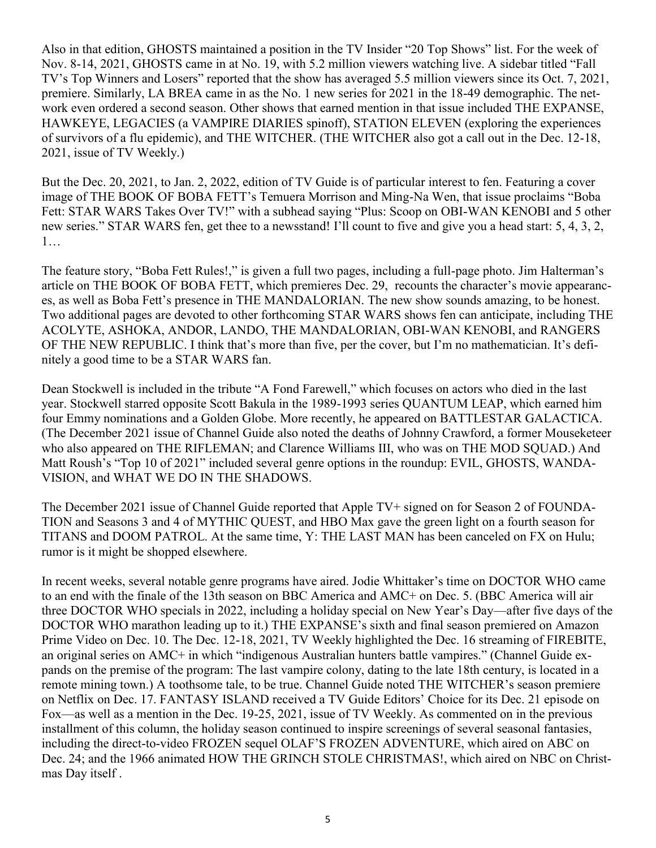Also in that edition, GHOSTS maintained a position in the TV Insider "20 Top Shows" list. For the week of Nov. 8-14, 2021, GHOSTS came in at No. 19, with 5.2 million viewers watching live. A sidebar titled "Fall TV's Top Winners and Losers" reported that the show has averaged 5.5 million viewers since its Oct. 7, 2021, premiere. Similarly, LA BREA came in as the No. 1 new series for 2021 in the 18-49 demographic. The network even ordered a second season. Other shows that earned mention in that issue included THE EXPANSE, HAWKEYE, LEGACIES (a VAMPIRE DIARIES spinoff), STATION ELEVEN (exploring the experiences of survivors of a flu epidemic), and THE WITCHER. (THE WITCHER also got a call out in the Dec. 12-18, 2021, issue of TV Weekly.)

But the Dec. 20, 2021, to Jan. 2, 2022, edition of TV Guide is of particular interest to fen. Featuring a cover image of THE BOOK OF BOBA FETT's Temuera Morrison and Ming-Na Wen, that issue proclaims "Boba Fett: STAR WARS Takes Over TV!" with a subhead saying "Plus: Scoop on OBI-WAN KENOBI and 5 other new series." STAR WARS fen, get thee to a newsstand! I'll count to five and give you a head start: 5, 4, 3, 2, 1…

The feature story, "Boba Fett Rules!," is given a full two pages, including a full-page photo. Jim Halterman's article on THE BOOK OF BOBA FETT, which premieres Dec. 29, recounts the character's movie appearances, as well as Boba Fett's presence in THE MANDALORIAN. The new show sounds amazing, to be honest. Two additional pages are devoted to other forthcoming STAR WARS shows fen can anticipate, including THE ACOLYTE, ASHOKA, ANDOR, LANDO, THE MANDALORIAN, OBI-WAN KENOBI, and RANGERS OF THE NEW REPUBLIC. I think that's more than five, per the cover, but I'm no mathematician. It's definitely a good time to be a STAR WARS fan.

Dean Stockwell is included in the tribute "A Fond Farewell," which focuses on actors who died in the last year. Stockwell starred opposite Scott Bakula in the 1989-1993 series QUANTUM LEAP, which earned him four Emmy nominations and a Golden Globe. More recently, he appeared on BATTLESTAR GALACTICA. (The December 2021 issue of Channel Guide also noted the deaths of Johnny Crawford, a former Mouseketeer who also appeared on THE RIFLEMAN; and Clarence Williams III, who was on THE MOD SOUAD.) And Matt Roush's "Top 10 of 2021" included several genre options in the roundup: EVIL, GHOSTS, WANDA-VISION, and WHAT WE DO IN THE SHADOWS.

The December 2021 issue of Channel Guide reported that Apple TV+ signed on for Season 2 of FOUNDA-TION and Seasons 3 and 4 of MYTHIC QUEST, and HBO Max gave the green light on a fourth season for TITANS and DOOM PATROL. At the same time, Y: THE LAST MAN has been canceled on FX on Hulu; rumor is it might be shopped elsewhere.

In recent weeks, several notable genre programs have aired. Jodie Whittaker's time on DOCTOR WHO came to an end with the finale of the 13th season on BBC America and AMC+ on Dec. 5. (BBC America will air three DOCTOR WHO specials in 2022, including a holiday special on New Year's Day—after five days of the DOCTOR WHO marathon leading up to it.) THE EXPANSE's sixth and final season premiered on Amazon Prime Video on Dec. 10. The Dec. 12-18, 2021, TV Weekly highlighted the Dec. 16 streaming of FIREBITE, an original series on AMC+ in which "indigenous Australian hunters battle vampires." (Channel Guide expands on the premise of the program: The last vampire colony, dating to the late 18th century, is located in a remote mining town.) A toothsome tale, to be true. Channel Guide noted THE WITCHER's season premiere on Netflix on Dec. 17. FANTASY ISLAND received a TV Guide Editors' Choice for its Dec. 21 episode on Fox—as well as a mention in the Dec. 19-25, 2021, issue of TV Weekly. As commented on in the previous installment of this column, the holiday season continued to inspire screenings of several seasonal fantasies, including the direct-to-video FROZEN sequel OLAF'S FROZEN ADVENTURE, which aired on ABC on Dec. 24; and the 1966 animated HOW THE GRINCH STOLE CHRISTMAS!, which aired on NBC on Christmas Day itself .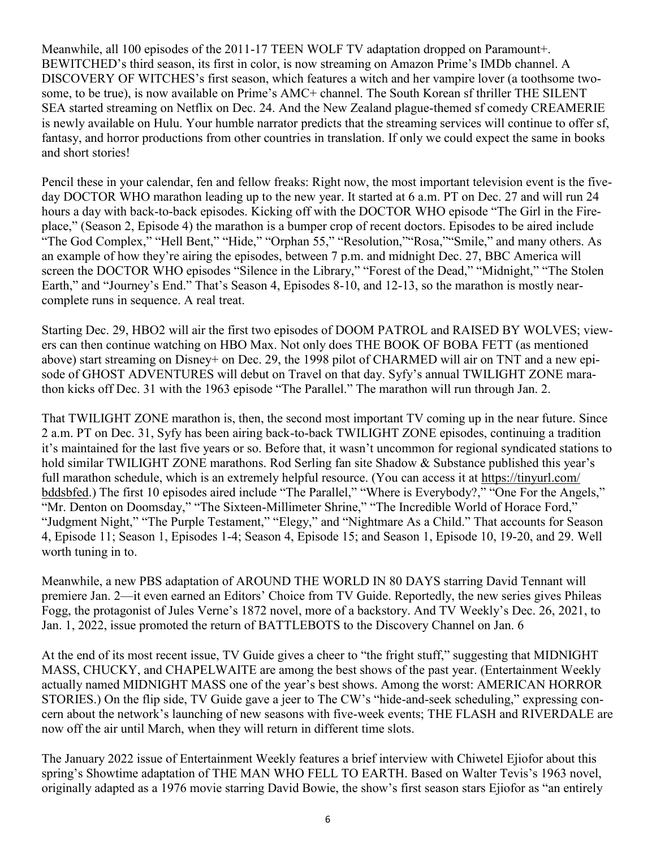Meanwhile, all 100 episodes of the 2011-17 TEEN WOLF TV adaptation dropped on Paramount+. BEWITCHED's third season, its first in color, is now streaming on Amazon Prime's IMDb channel. A DISCOVERY OF WITCHES's first season, which features a witch and her vampire lover (a toothsome twosome, to be true), is now available on Prime's AMC+ channel. The South Korean sf thriller THE SILENT SEA started streaming on Netflix on Dec. 24. And the New Zealand plague-themed sf comedy CREAMERIE is newly available on Hulu. Your humble narrator predicts that the streaming services will continue to offer sf, fantasy, and horror productions from other countries in translation. If only we could expect the same in books and short stories!

Pencil these in your calendar, fen and fellow freaks: Right now, the most important television event is the fiveday DOCTOR WHO marathon leading up to the new year. It started at 6 a.m. PT on Dec. 27 and will run 24 hours a day with back-to-back episodes. Kicking off with the DOCTOR WHO episode "The Girl in the Fireplace," (Season 2, Episode 4) the marathon is a bumper crop of recent doctors. Episodes to be aired include "The God Complex," "Hell Bent," "Hide," "Orphan 55," "Resolution,""Rosa,""Smile," and many others. As an example of how they're airing the episodes, between 7 p.m. and midnight Dec. 27, BBC America will screen the DOCTOR WHO episodes "Silence in the Library," "Forest of the Dead," "Midnight," "The Stolen Earth," and "Journey's End." That's Season 4, Episodes 8-10, and 12-13, so the marathon is mostly nearcomplete runs in sequence. A real treat.

Starting Dec. 29, HBO2 will air the first two episodes of DOOM PATROL and RAISED BY WOLVES; viewers can then continue watching on HBO Max. Not only does THE BOOK OF BOBA FETT (as mentioned above) start streaming on Disney+ on Dec. 29, the 1998 pilot of CHARMED will air on TNT and a new episode of GHOST ADVENTURES will debut on Travel on that day. Syfy's annual TWILIGHT ZONE marathon kicks off Dec. 31 with the 1963 episode "The Parallel." The marathon will run through Jan. 2.

That TWILIGHT ZONE marathon is, then, the second most important TV coming up in the near future. Since 2 a.m. PT on Dec. 31, Syfy has been airing back-to-back TWILIGHT ZONE episodes, continuing a tradition it's maintained for the last five years or so. Before that, it wasn't uncommon for regional syndicated stations to hold similar TWILIGHT ZONE marathons. Rod Serling fan site Shadow & Substance published this year's full marathon schedule, which is an extremely helpful resource. (You can access it at https://tinyurl.com/ bddsbfed.) The first 10 episodes aired include "The Parallel," "Where is Everybody?," "One For the Angels," "Mr. Denton on Doomsday," "The Sixteen-Millimeter Shrine," "The Incredible World of Horace Ford," "Judgment Night," "The Purple Testament," "Elegy," and "Nightmare As a Child." That accounts for Season 4, Episode 11; Season 1, Episodes 1-4; Season 4, Episode 15; and Season 1, Episode 10, 19-20, and 29. Well worth tuning in to.

Meanwhile, a new PBS adaptation of AROUND THE WORLD IN 80 DAYS starring David Tennant will premiere Jan. 2—it even earned an Editors' Choice from TV Guide. Reportedly, the new series gives Phileas Fogg, the protagonist of Jules Verne's 1872 novel, more of a backstory. And TV Weekly's Dec. 26, 2021, to Jan. 1, 2022, issue promoted the return of BATTLEBOTS to the Discovery Channel on Jan. 6

At the end of its most recent issue, TV Guide gives a cheer to "the fright stuff," suggesting that MIDNIGHT MASS, CHUCKY, and CHAPELWAITE are among the best shows of the past year. (Entertainment Weekly actually named MIDNIGHT MASS one of the year's best shows. Among the worst: AMERICAN HORROR STORIES.) On the flip side, TV Guide gave a jeer to The CW's "hide-and-seek scheduling," expressing concern about the network's launching of new seasons with five-week events; THE FLASH and RIVERDALE are now off the air until March, when they will return in different time slots.

The January 2022 issue of Entertainment Weekly features a brief interview with Chiwetel Ejiofor about this spring's Showtime adaptation of THE MAN WHO FELL TO EARTH. Based on Walter Tevis's 1963 novel, originally adapted as a 1976 movie starring David Bowie, the show's first season stars Ejiofor as "an entirely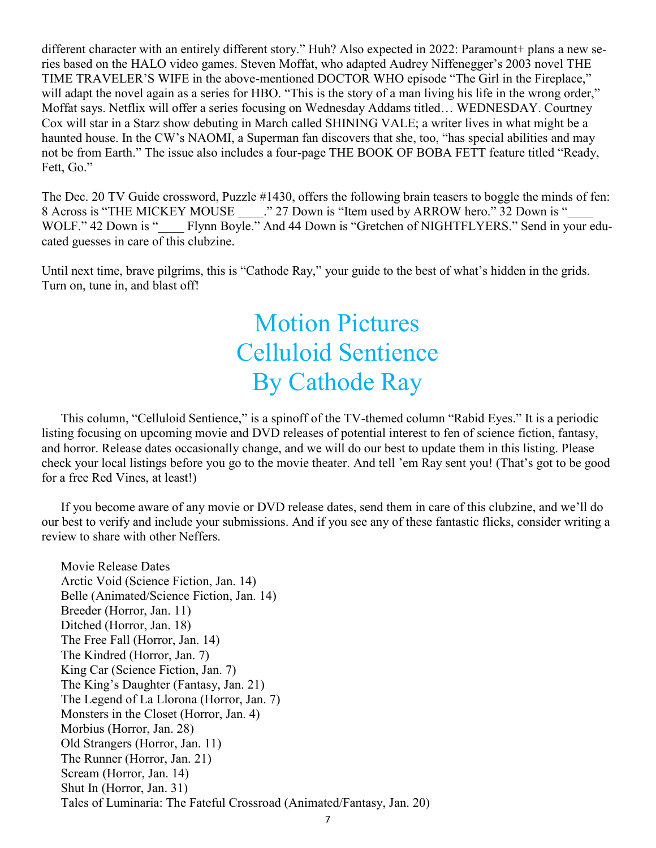different character with an entirely different story." Huh? Also expected in 2022: Paramount+ plans a new series based on the HALO video games. Steven Moffat, who adapted Audrey Niffenegger's 2003 novel THE TIME TRAVELER'S WIFE in the above-mentioned DOCTOR WHO episode "The Girl in the Fireplace," will adapt the novel again as a series for HBO. "This is the story of a man living his life in the wrong order," Moffat says. Netflix will offer a series focusing on Wednesday Addams titled… WEDNESDAY. Courtney Cox will star in a Starz show debuting in March called SHINING VALE; a writer lives in what might be a haunted house. In the CW's NAOMI, a Superman fan discovers that she, too, "has special abilities and may not be from Earth." The issue also includes a four-page THE BOOK OF BOBA FETT feature titled "Ready, Fett, Go."

The Dec. 20 TV Guide crossword, Puzzle #1430, offers the following brain teasers to boggle the minds of fen: 8 Across is "THE MICKEY MOUSE". 27 Down is "Item used by ARROW hero." 32 Down is " WOLF." 42 Down is " Flynn Boyle." And 44 Down is "Gretchen of NIGHTFLYERS." Send in your educated guesses in care of this clubzine.

Until next time, brave pilgrims, this is "Cathode Ray," your guide to the best of what's hidden in the grids. Turn on, tune in, and blast off!

### Motion Pictures Celluloid Sentience By Cathode Ray

This column, "Celluloid Sentience," is a spinoff of the TV-themed column "Rabid Eyes." It is a periodic listing focusing on upcoming movie and DVD releases of potential interest to fen of science fiction, fantasy, and horror. Release dates occasionally change, and we will do our best to update them in this listing. Please check your local listings before you go to the movie theater. And tell 'em Ray sent you! (That's got to be good for a free Red Vines, at least!)

If you become aware of any movie or DVD release dates, send them in care of this clubzine, and we'll do our best to verify and include your submissions. And if you see any of these fantastic flicks, consider writing a review to share with other Neffers.

Movie Release Dates Arctic Void (Science Fiction, Jan. 14) Belle (Animated/Science Fiction, Jan. 14) Breeder (Horror, Jan. 11) Ditched (Horror, Jan. 18) The Free Fall (Horror, Jan. 14) The Kindred (Horror, Jan. 7) King Car (Science Fiction, Jan. 7) The King's Daughter (Fantasy, Jan. 21) The Legend of La Llorona (Horror, Jan. 7) Monsters in the Closet (Horror, Jan. 4) Morbius (Horror, Jan. 28) Old Strangers (Horror, Jan. 11) The Runner (Horror, Jan. 21) Scream (Horror, Jan. 14) Shut In (Horror, Jan. 31) Tales of Luminaria: The Fateful Crossroad (Animated/Fantasy, Jan. 20)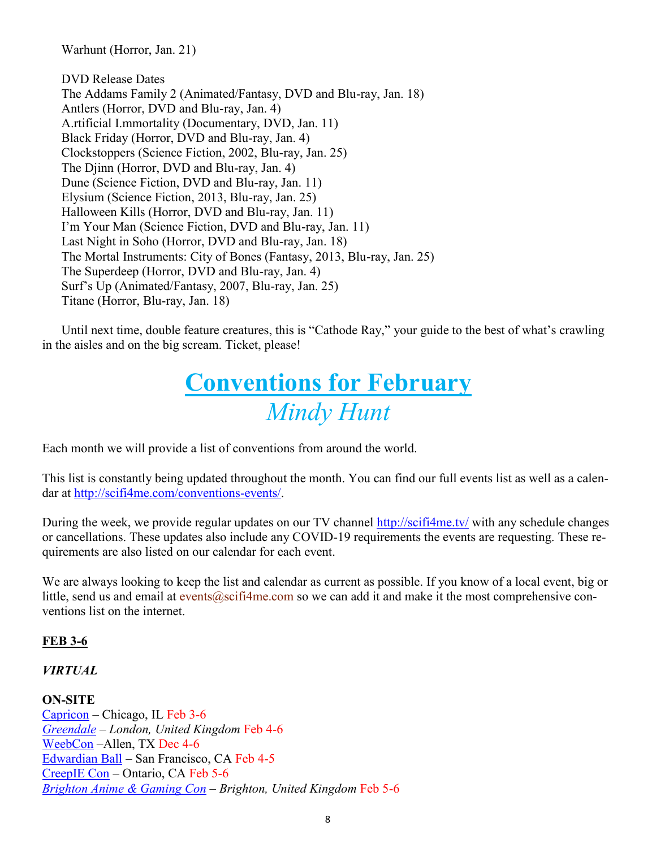Warhunt (Horror, Jan. 21)

DVD Release Dates The Addams Family 2 (Animated/Fantasy, DVD and Blu-ray, Jan. 18) Antlers (Horror, DVD and Blu-ray, Jan. 4) A.rtificial I.mmortality (Documentary, DVD, Jan. 11) Black Friday (Horror, DVD and Blu-ray, Jan. 4) Clockstoppers (Science Fiction, 2002, Blu-ray, Jan. 25) The Djinn (Horror, DVD and Blu-ray, Jan. 4) Dune (Science Fiction, DVD and Blu-ray, Jan. 11) Elysium (Science Fiction, 2013, Blu-ray, Jan. 25) Halloween Kills (Horror, DVD and Blu-ray, Jan. 11) I'm Your Man (Science Fiction, DVD and Blu-ray, Jan. 11) Last Night in Soho (Horror, DVD and Blu-ray, Jan. 18) The Mortal Instruments: City of Bones (Fantasy, 2013, Blu-ray, Jan. 25) The Superdeep (Horror, DVD and Blu-ray, Jan. 4) Surf's Up (Animated/Fantasy, 2007, Blu-ray, Jan. 25) Titane (Horror, Blu-ray, Jan. 18)

Until next time, double feature creatures, this is "Cathode Ray," your guide to the best of what's crawling in the aisles and on the big scream. Ticket, please!

### **Conventions for February** *Mindy Hunt*

Each month we will provide a list of conventions from around the world.

This list is constantly being updated throughout the month. You can find our full events list as well as a calendar at [http://scifi4me.com/conventions](http://scifi4me.com/conventions-events/)-events/.

During the week, we provide regular updates on our TV channel <http://scifi4me.tv/> with any schedule changes or cancellations. These updates also include any COVID-19 requirements the events are requesting. These requirements are also listed on our calendar for each event.

We are always looking to keep the list and calendar as current as possible. If you know of a local event, big or little, send us and email at events@scifi4me.com so we can add it and make it the most comprehensive conventions list on the internet.

#### **FEB 3-6**

#### *VIRTUAL*

#### **ON-SITE**

[Capricon](http://capricon.org/) *–* Chicago, IL Feb 3-6 *[Greendale](http://seanharry.com/home/greendale/) – London, United Kingdom* Feb 4-6 [WeebCon](https://www.weebcon.net/) –Allen, TX Dec 4-6 [Edwardian Ball](https://www.edwardianball.com/#1483389986439-23327fdf-4662) *–* San Francisco, CA Feb 4-5 [CreepIE Con](https://www.creepiecon.com/?fbclid=IwAR1XqaEP0FUBqNlVHxjOG0TXh1ebwu9mHC7_H7aFjhPNe6F_5zkTfkAqmpY) – Ontario, CA Feb 5-6 *[Brighton Anime & Gaming Con](https://www.brightonanimecon.com/) – Brighton, United Kingdom* Feb 5-6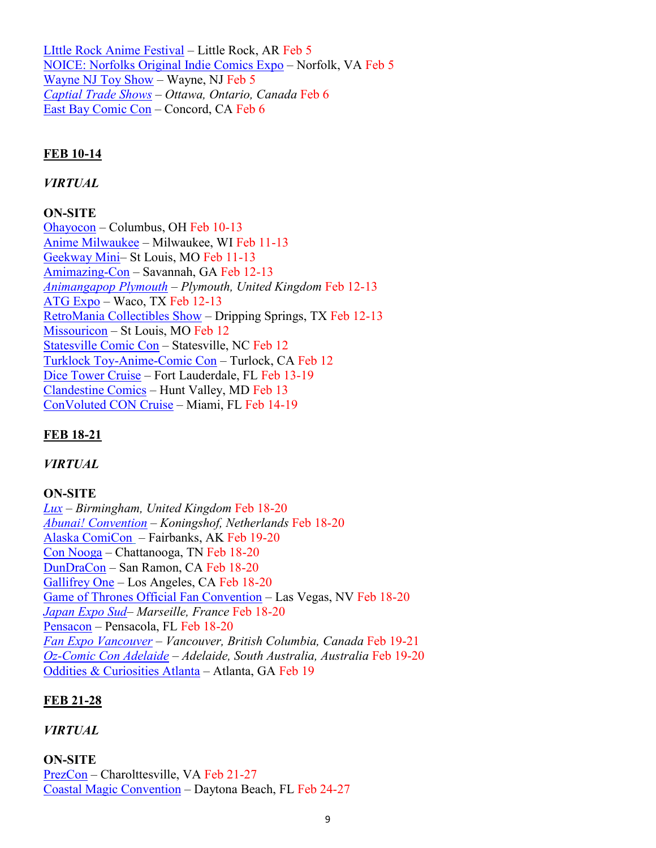[LIttle Rock Anime Festival](https://littlerockanimefest.com/) – Little Rock, AR Feb 5 [NOICE: Norfolks Original Indie Comics Expo](https://www.facebook.com/noicenorfolk/) – Norfolk, VA Feb 5 [Wayne NJ Toy Show](https://www.veteriproductions.com/) – Wayne, NJ Feb 5 *[Captial Trade Shows](http://capitaltradeshows.com/) – Ottawa, Ontario, Canada* Feb 6 [East Bay Comic Con](https://eastbaycomiccon.com/) – Concord, CA Feb 6

#### **FEB 10-14**

#### *VIRTUAL*

#### **ON-SITE**

[Ohayocon](https://ohayocon.org/) – Columbus, OH Feb 10-13 [Anime Milwaukee](https://animemilwaukee.org/) – Milwaukee, WI Feb 11-13 [Geekway Mini–](https://geekwaytothewest.com/conventions/convention/5db85cecd8539329b639b27d) St Louis, MO Feb 11-13 [Amimazing](https://www.savannahanimazing.com/)-Con – Savannah, GA Feb 12-13 *[Animangapop Plymouth](https://plymouth.animangapop.co.uk/) – Plymouth, United Kingdom* Feb 12-13 [ATG Expo](https://atgexpo.com/) – Waco, TX Feb 12-13 [RetroMania Collectibles Show](https://www.heritageeventcompany.com/austin-retromania-toy-show-february-2022-487096.html?fbclid=IwAR0dJnIZD_WNrrhqR9QdGMPekPioGbRcGQMn50gzZqFNdc8zVDtKOrjoq1Q) – Dripping Springs, TX Feb 12-13 [Missouricon](http://www.missouricon.com/?fbclid=IwAR1O96zV7eJvqkFv5pTjOBytffT1c_azbuDch-SHUNrSOaLq7QIeKL5o-qk) – St Louis, MO Feb 12 [Statesville Comic Con](https://www.facebook.com/Statesvillecomiccon/) – Statesville, NC Feb 12 [Turklock Toy](https://www.facebook.com/events/403765814248965/?acontext=%7B%22event_action_history%22%3A%5b%7B%22surface%22%3A%22page%22%7D%5d%7D)-Anime-Comic Con – Turlock, CA Feb 12 [Dice Tower Cruise](https://dicetowercruise.com/) – Fort Lauderdale, FL Feb 13-19 [Clandestine Comics](https://clandestinecomics.com/) – Hunt Valley, MD Feb 13 [ConVoluted CON Cruise](https://www.icruise.com/cruises/convoluted-con-cruise-3680.html) – Miami, FL Feb 14-19

#### **FEB 18-21**

#### *VIRTUAL*

#### **ON-SITE**

*[Lux](http://seanharry.com/home/lux/) – Birmingham, United Kingdom* Feb 18-20 *[Abunai! Convention](https://abunaicon.nl/) – Koningshof, Netherlands* Feb 18-20 [Alaska ComiCon](https://www.alaskacomicon.com/?fbclid=IwAR1z2fIYe0xUxsTMtQkwt9uQK6TZma0npHf93ezxps50lVETwWvh6wkOY9w) – Fairbanks, AK Feb 19-20 [Con Nooga](http://www.connooga.com/) – Chattanooga, TN Feb 18-20 [DunDraCon](http://dundracon.com/) – San Ramon, CA Feb 18-20 [Gallifrey One](http://www.gallifreyone.com/) – Los Angeles, CA Feb 18-20 [Game of Thrones Official Fan Convention](https://www.creationent.com/got/index.html) – Las Vegas, NV Feb 18-20 *[Japan Expo Sud–](https://www.japan-expo-sud.com/en/) Marseille, France* Feb 18-20 [Pensacon](https://pensacon.com/) – Pensacola, FL Feb 18-20 *[Fan Expo Vancouver](https://fanexpohq.com/fanexpovancouver/) – Vancouver, British Columbia, Canada* Feb 19-21 *Oz-[Comic Con Adelaide](https://ozcomiccon.com/) – Adelaide, South Australia, Australia* Feb 19-20 [Oddities & Curiosities Atlanta](https://odditiesandcuriositiesexpo.com/events) – Atlanta, GA Feb 19

#### **FEB 21-28**

#### *VIRTUAL*

#### **ON-SITE**

[PrezCon](https://www.prezcon.com/) – Charolttesville, VA Feb 21-27 [Coastal Magic Convention](https://coastalmagicconvention.com/) – Daytona Beach, FL Feb 24-27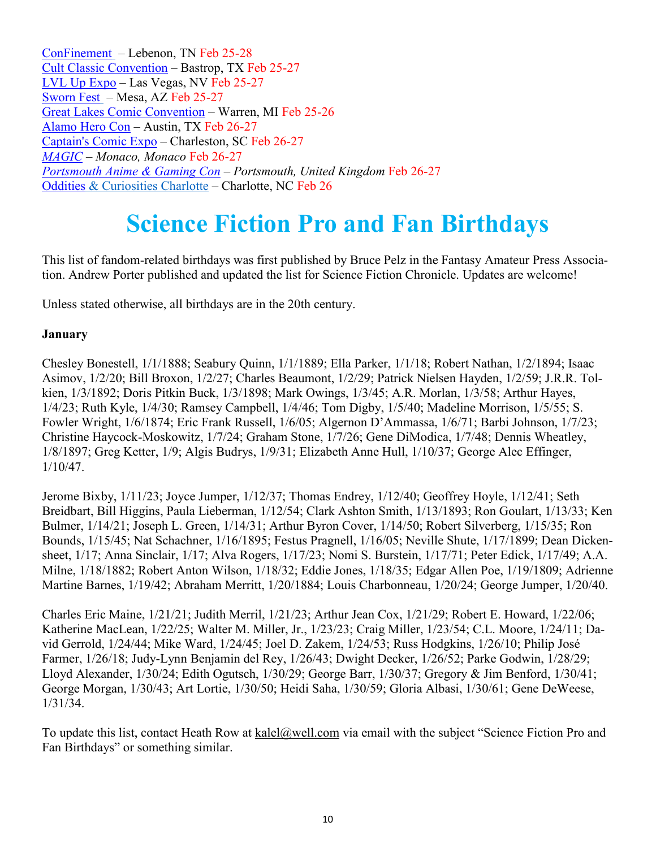[ConFinement](https://www.confinementcon.org/) – Lebenon, TN Feb 25-28 [Cult Classic Convention](https://www.confinementcon.org/) – Bastrop, TX Feb 25-27 [LVL Up Expo](https://lvlupexpo.com/?fbclid=IwAR16YKcK9ScrZfUUuHW7jGwhCAaQ78pCWvA6wkF4zMHOwnp0mT9Il4Eijpk) – Las Vegas, NV Feb 25-27 [Sworn Fest](https://www.ladydeathuniverse.com/sworn-fest-2022-ticket-sales-are-live/) – Mesa, AZ Feb 25-27 [Great Lakes Comic Convention](http://greatlakescomicconvention.com/) – Warren, MI Feb 25-26 [Alamo Hero Con](https://alamoherocon.com/?fbclid=IwAR1sW9bs80ygSA_OGf3r8cF70ODIPPURDlIcAfTEBIzHKz-xN2RGrTknUCs) – Austin, TX Feb 26-27 [Captain's Comic Expo](https://captainscomicexpo.com/) – Charleston, SC Feb 26-27 *[MAGIC](https://www.magic-ip.com/) – Monaco, Monaco* Feb 26-27 *[Portsmouth Anime & Gaming Con](https://www.portsmouthanimecon.com/) – Portsmouth, United Kingdom* Feb 26-27 [Oddities](https://www.confinementcon.org/) & Curiosities Charlotte – Charlotte, NC Feb 26

### **Science Fiction Pro and Fan Birthdays**

This list of fandom-related birthdays was first published by Bruce Pelz in the Fantasy Amateur Press Association. Andrew Porter published and updated the list for Science Fiction Chronicle. Updates are welcome!

Unless stated otherwise, all birthdays are in the 20th century.

#### **January**

Chesley Bonestell, 1/1/1888; Seabury Quinn, 1/1/1889; Ella Parker, 1/1/18; Robert Nathan, 1/2/1894; Isaac Asimov, 1/2/20; Bill Broxon, 1/2/27; Charles Beaumont, 1/2/29; Patrick Nielsen Hayden, 1/2/59; J.R.R. Tolkien, 1/3/1892; Doris Pitkin Buck, 1/3/1898; Mark Owings, 1/3/45; A.R. Morlan, 1/3/58; Arthur Hayes, 1/4/23; Ruth Kyle, 1/4/30; Ramsey Campbell, 1/4/46; Tom Digby, 1/5/40; Madeline Morrison, 1/5/55; S. Fowler Wright, 1/6/1874; Eric Frank Russell, 1/6/05; Algernon D'Ammassa, 1/6/71; Barbi Johnson, 1/7/23; Christine Haycock-Moskowitz, 1/7/24; Graham Stone, 1/7/26; Gene DiModica, 1/7/48; Dennis Wheatley, 1/8/1897; Greg Ketter, 1/9; Algis Budrys, 1/9/31; Elizabeth Anne Hull, 1/10/37; George Alec Effinger, 1/10/47.

Jerome Bixby, 1/11/23; Joyce Jumper, 1/12/37; Thomas Endrey, 1/12/40; Geoffrey Hoyle, 1/12/41; Seth Breidbart, Bill Higgins, Paula Lieberman, 1/12/54; Clark Ashton Smith, 1/13/1893; Ron Goulart, 1/13/33; Ken Bulmer, 1/14/21; Joseph L. Green, 1/14/31; Arthur Byron Cover, 1/14/50; Robert Silverberg, 1/15/35; Ron Bounds, 1/15/45; Nat Schachner, 1/16/1895; Festus Pragnell, 1/16/05; Neville Shute, 1/17/1899; Dean Dickensheet, 1/17; Anna Sinclair, 1/17; Alva Rogers, 1/17/23; Nomi S. Burstein, 1/17/71; Peter Edick, 1/17/49; A.A. Milne, 1/18/1882; Robert Anton Wilson, 1/18/32; Eddie Jones, 1/18/35; Edgar Allen Poe, 1/19/1809; Adrienne Martine Barnes, 1/19/42; Abraham Merritt, 1/20/1884; Louis Charbonneau, 1/20/24; George Jumper, 1/20/40.

Charles Eric Maine, 1/21/21; Judith Merril, 1/21/23; Arthur Jean Cox, 1/21/29; Robert E. Howard, 1/22/06; Katherine MacLean, 1/22/25; Walter M. Miller, Jr., 1/23/23; Craig Miller, 1/23/54; C.L. Moore, 1/24/11; David Gerrold, 1/24/44; Mike Ward, 1/24/45; Joel D. Zakem, 1/24/53; Russ Hodgkins, 1/26/10; Philip José Farmer, 1/26/18; Judy-Lynn Benjamin del Rey, 1/26/43; Dwight Decker, 1/26/52; Parke Godwin, 1/28/29; Lloyd Alexander, 1/30/24; Edith Ogutsch, 1/30/29; George Barr, 1/30/37; Gregory & Jim Benford, 1/30/41; George Morgan, 1/30/43; Art Lortie, 1/30/50; Heidi Saha, 1/30/59; Gloria Albasi, 1/30/61; Gene DeWeese, 1/31/34.

To update this list, contact Heath Row at kalel@well.com via email with the subject "Science Fiction Pro and Fan Birthdays" or something similar.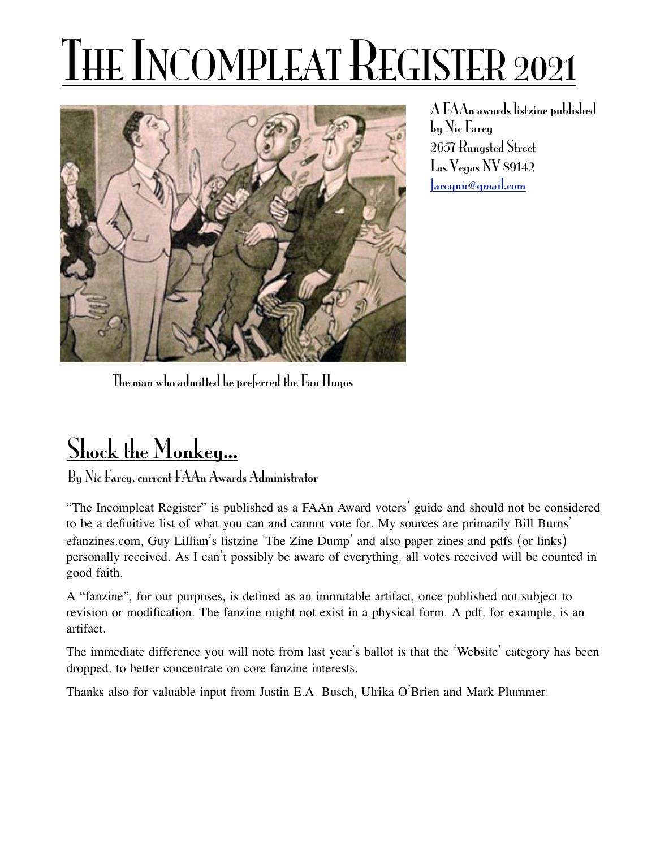# THE INCOMPLEAT REGISTER 2021



A FAAn awards listzine published by Nic Farey 2657 Rungsted Street Las Vegas NV 89142 [fareynic@gmail.com](mailto:fareynic@gmail.com)

The man who admitted he preferred the Fan Hugos

## Shock the Monkey...

By Nic Farey, current FAAn Awards Administrator

"The Incompleat Register" is published as a FAAn Award voters' guide and should not be considered to be a definitive list of what you can and cannot vote for. My sources are primarily Bill Burns' efanzines.com, Guy Lillian's listzine 'The Zine Dump' and also paper zines and pdfs (or links) personally received. As I can't possibly be aware of everything, all votes received will be counted in good faith.

A "fanzine", for our purposes, is defined as an immutable artifact, once published not subject to revision or modification. The fanzine might not exist in a physical form. A pdf, for example, is an artifact.

The immediate difference you will note from last year's ballot is that the 'Website' category has been dropped, to better concentrate on core fanzine interests.

Thanks also for valuable input from Justin E.A. Busch, Ulrika O'Brien and Mark Plummer.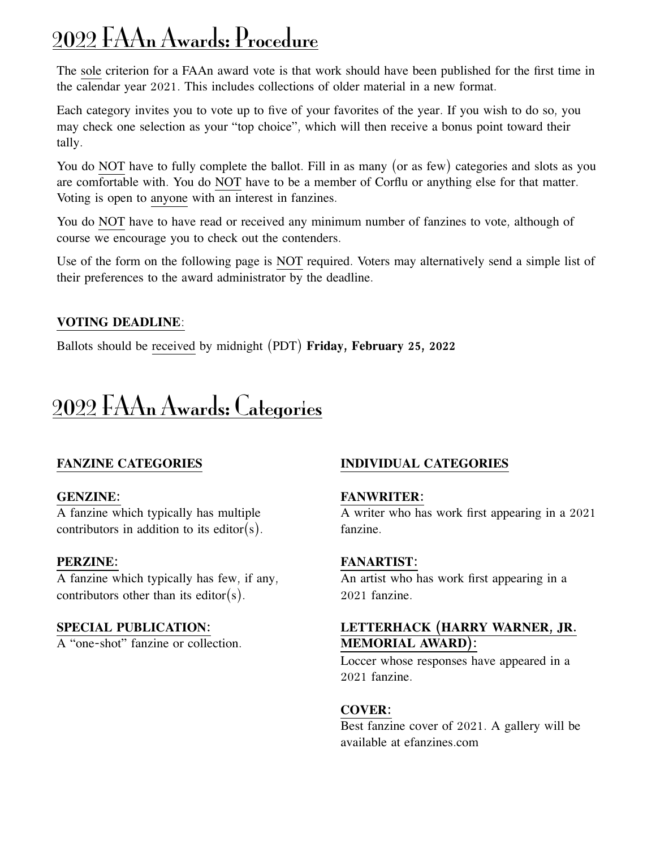## 2022 FAAn Awards: Procedure

The sole criterion for a FAAn award vote is that work should have been published for the first time in the calendar year 2021. This includes collections of older material in a new format.

Each category invites you to vote up to five of your favorites of the year. If you wish to do so, you may check one selection as your "top choice", which will then receive a bonus point toward their tally.

You do NOT have to fully complete the ballot. Fill in as many (or as few) categories and slots as you are comfortable with. You do NOT have to be a member of Corflu or anything else for that matter. Voting is open to anyone with an interest in fanzines.

You do NOT have to have read or received any minimum number of fanzines to vote, although of course we encourage you to check out the contenders.

Use of the form on the following page is NOT required. Voters may alternatively send a simple list of their preferences to the award administrator by the deadline.

#### **VOTING DEADLINE**:

Ballots should be received by midnight (PDT) **Friday, February 25, 2022**

## 2022 FAAn Awards: Categories

#### **FANZINE CATEGORIES**

#### **GENZINE:**

A fanzine which typically has multiple contributors in addition to its editor(s).

#### **PERZINE:**

A fanzine which typically has few, if any, contributors other than its editor(s).

#### **SPECIAL PUBLICATION:**

A "one-shot" fanzine or collection.

#### **INDIVIDUAL CATEGORIES**

#### **FANWRITER:**

A writer who has work first appearing in a 2021 fanzine.

#### **FANARTIST:**

An artist who has work first appearing in a 2021 fanzine.

#### **LETTERHACK (HARRY WARNER, JR. MEMORIAL AWARD):**

Loccer whose responses have appeared in a 2021 fanzine.

#### **COVER:**

Best fanzine cover of 2021. A gallery will be available at efanzines.com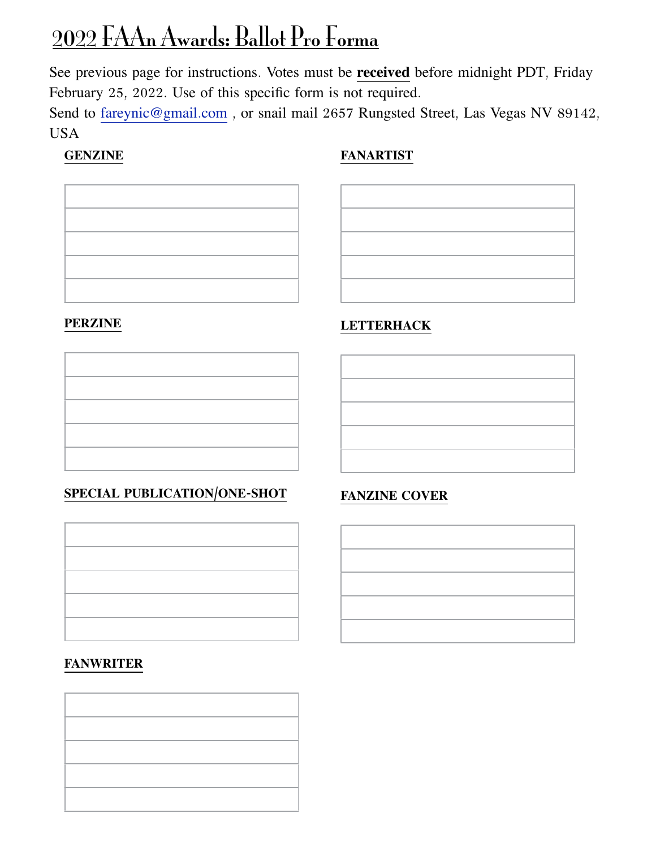## 2022 FAAn Awards: Ballot Pro Forma

See previous page for instructions. Votes must be **received** before midnight PDT, Friday February 25, 2022. Use of this specific form is not required.

Send to [fareynic@gmail](mailto:fareynic@gmail.com)[.](mailto:fareynic@gmail.com)com, or snail mail 2657 Rungsted Street, Las Vegas NV 89142, USA

#### **GENZINE**

#### **FANARTIST**



#### **PERZINE**

#### **SPECIAL PUBLICATION/ONE-SHOT**



#### **FANWRITER**



#### **LETTERHACK**



#### **FANZINE COVER**

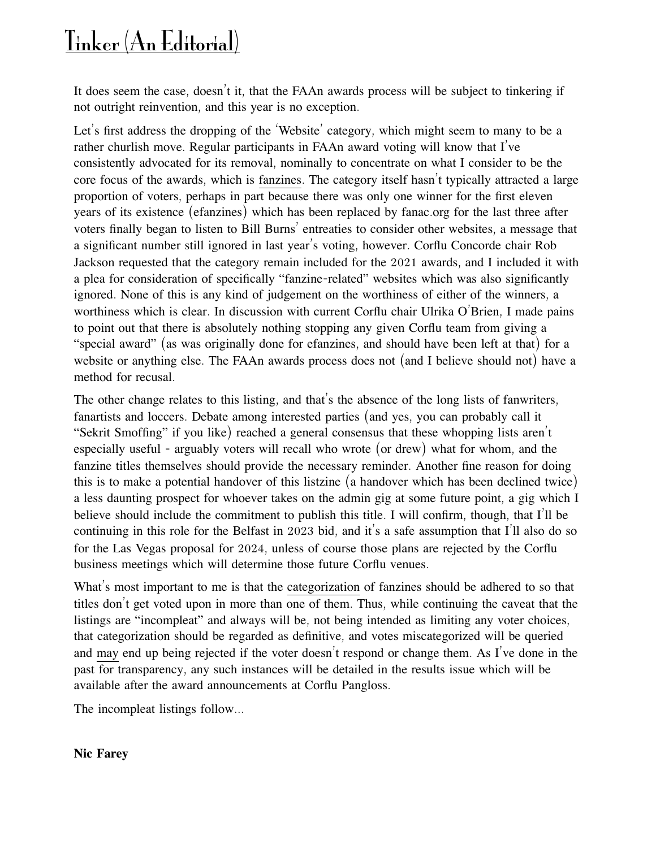## Tinker (An Editorial)

It does seem the case, doesn't it, that the FAAn awards process will be subject to tinkering if not outright reinvention, and this year is no exception.

Let's first address the dropping of the 'Website' category, which might seem to many to be a rather churlish move. Regular participants in FAAn award voting will know that I've consistently advocated for its removal, nominally to concentrate on what I consider to be the core focus of the awards, which is fanzines. The category itself hasn't typically attracted a large proportion of voters, perhaps in part because there was only one winner for the first eleven years of its existence (efanzines) which has been replaced by fanac.org for the last three after voters finally began to listen to Bill Burns' entreaties to consider other websites, a message that a significant number still ignored in last year's voting, however. Corflu Concorde chair Rob Jackson requested that the category remain included for the 2021 awards, and I included it with a plea for consideration of specifically "fanzine-related" websites which was also significantly ignored. None of this is any kind of judgement on the worthiness of either of the winners, a worthiness which is clear. In discussion with current Corflu chair Ulrika O'Brien, I made pains to point out that there is absolutely nothing stopping any given Corflu team from giving a "special award" (as was originally done for efanzines, and should have been left at that) for a website or anything else. The FAAn awards process does not (and I believe should not) have a method for recusal.

The other change relates to this listing, and that's the absence of the long lists of fanwriters, fanartists and loccers. Debate among interested parties (and yes, you can probably call it "Sekrit Smoffing" if you like) reached a general consensus that these whopping lists aren't especially useful - arguably voters will recall who wrote (or drew) what for whom, and the fanzine titles themselves should provide the necessary reminder. Another fine reason for doing this is to make a potential handover of this listzine (a handover which has been declined twice) a less daunting prospect for whoever takes on the admin gig at some future point, a gig which I believe should include the commitment to publish this title. I will confirm, though, that I'll be continuing in this role for the Belfast in 2023 bid, and it's a safe assumption that I'll also do so for the Las Vegas proposal for 2024, unless of course those plans are rejected by the Corflu business meetings which will determine those future Corflu venues.

What's most important to me is that the categorization of fanzines should be adhered to so that titles don't get voted upon in more than one of them. Thus, while continuing the caveat that the listings are "incompleat" and always will be, not being intended as limiting any voter choices, that categorization should be regarded as definitive, and votes miscategorized will be queried and may end up being rejected if the voter doesn't respond or change them. As I've done in the past for transparency, any such instances will be detailed in the results issue which will be available after the award announcements at Corflu Pangloss.

The incompleat listings follow...

#### **Nic Farey**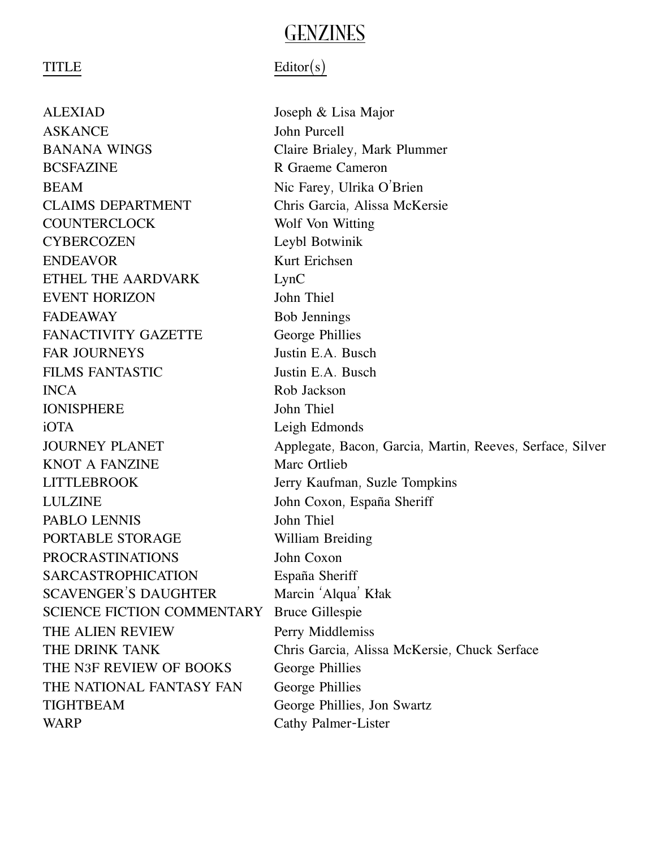### GENZINES

ALEXIAD!! ! ! ! Joseph & Lisa Major ASKANCE!! ! ! ! John Purcell BANANA WINGS Claire Brialey, Mark Plummer BCSFAZINE R Graeme Cameron BEAM Nic Farey, Ulrika O'Brien CLAIMS DEPARTMENT Chris Garcia, Alissa McKersie COUNTERCLOCK Wolf Von Witting CYBERCOZEN Leybl Botwinik ENDEAVOR Kurt Erichsen<br>ETHEL THE AARDVARK LynC ETHEL THE AARDVARK EVENT HORIZON John Thiel FADEAWAY Bob Jennings FANACTIVITY GAZETTE George Phillies FAR JOURNEYS Justin E.A. Busch FILMS FANTASTIC Justin E.A. Busch INCA!! ! ! ! ! Rob Jackson IONISPHERE!! ! ! John Thiel iOTA!! ! ! ! ! Leigh Edmonds KNOT A FANZINE Marc Ortlieb LITTLEBROOK Jerry Kaufman, Suzle Tompkins LULZINE John Coxon, España Sheriff<br>
PABLO LENNIS John Thiel PABLO LENNIS PORTABLE STORAGE William Breiding PROCRASTINATIONS John Coxon SARCASTROPHICATION España Sheriff<br>SCAVENGER'S DAUGHTER Marcin 'Alqua' Kłak SCAVENGER'S DAUGHTER SCIENCE FICTION COMMENTARY Bruce Gillespie THE ALIEN REVIEW Perry Middlemiss THE N3F REVIEW OF BOOKS George Phillies THE NATIONAL FANTASY FAN George Phillies TIGHTBEAM George Phillies, Jon Swartz WARP Cathy Palmer-Lister

#### TITLE Editor(s)

JOURNEY PLANET Applegate, Bacon, Garcia, Martin, Reeves, Serface, Silver THE DRINK TANK **Example 20** Chris Garcia, Alissa McKersie, Chuck Serface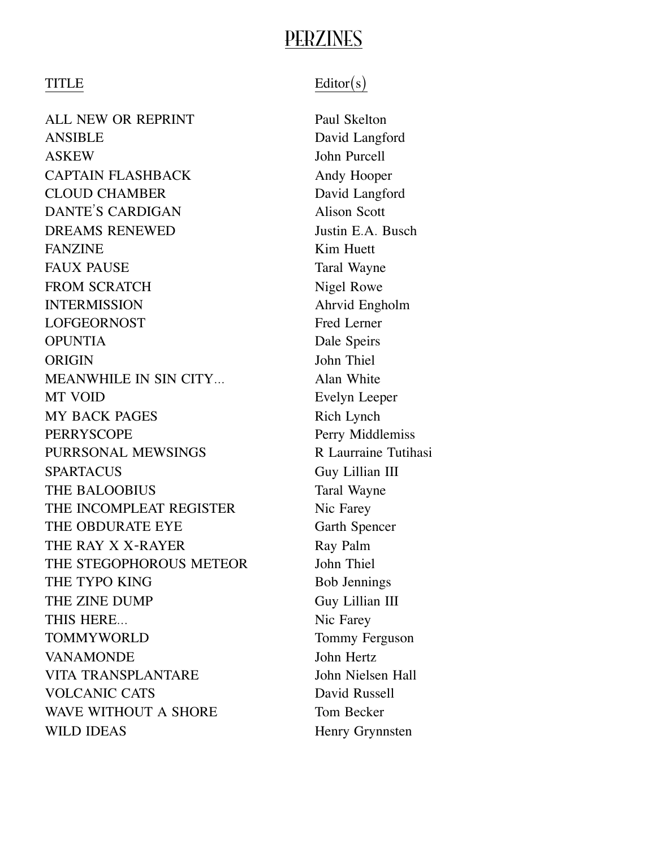### PERZINES

ALL NEW OR REPRINT Paul Skelton ANSIBLE David Langford ASKEW!! ! ! ! ! John Purcell CAPTAIN FLASHBACK Andy Hooper CLOUD CHAMBER David Langford<br>
DANTE'S CARDIGAN Alison Scott DANTE'S CARDIGAN DREAMS RENEWED Justin E.A. Busch FANZINE **Kim Huett** FAUX PAUSE Taral Wayne FROM SCRATCH Nigel Rowe INTERMISSION Ahrvid Engholm LOFGEORNOST Fred Lerner OPUNTIA Dale Speirs ORIGIN John Thiel<br>
MEANWHILE IN SIN CITY Alan White MEANWHILE IN SIN CITY... MT VOID Evelyn Leeper MY BACK PAGES Rich Lynch PERRYSCOPE PERRYSCOPE Perry Middlemiss<br>PURRSONAL MEWSINGS R Laurraine Tutihasi PURRSONAL MEWSINGS SPARTACUS Guy Lillian III THE BALOOBIUS Taral Wayne THE INCOMPLEAT REGISTER Nic Farey THE OBDURATE EYE Garth Spencer THE RAY X X-RAYER Ray Palm THE STEGOPHOROUS METEOR John Thiel THE TYPO KING Bob Jennings THE ZINE DUMP!! ! ! ! Guy Lillian III THIS HERE... TOMMYWORLD **TOMMYWORLD Tommy Ferguson** VANAMONDE 50 John Hertz VITA TRANSPLANTARE! ! ! John Nielsen Hall VOLCANIC CATS David Russell WAVE WITHOUT A SHORE Tom Becker WILD IDEAS Henry Grynnsten

#### $TITLE$  Editor(s)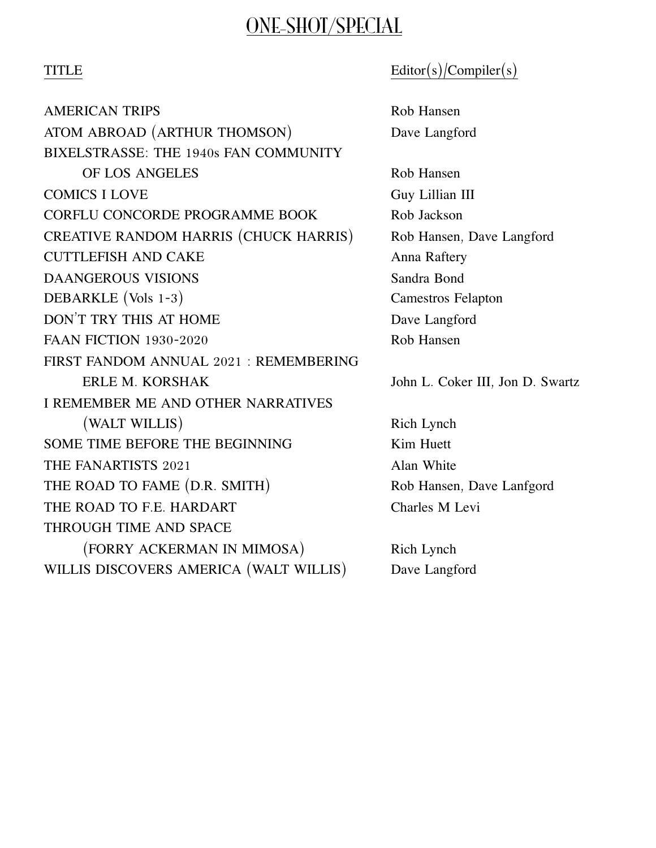### ONE-SHOT/SPECIAL

#### TITLE Editor(s)/Compiler(s)

AMERICAN TRIPS **Example 2018** Rob Hansen ATOM ABROAD (ARTHUR THOMSON) Dave Langford BIXELSTRASSE: THE 1940s FAN COMMUNITY OF LOS ANGELES!!!!! Rob Hansen COMICS I LOVE GUY Lillian III CORFLU CONCORDE PROGRAMME BOOK Rob Jackson CREATIVE RANDOM HARRIS (CHUCK HARRIS) Rob Hansen, Dave Langford CUTTLEFISH AND CAKE Anna Raftery **DAANGEROUS VISIONS** Sandra Bond DEBARKLE (Vols 1-3)! ! ! ! ! ! Camestros Felapton DON'T TRY THIS AT HOME Dave Langford FAAN FICTION 1930-2020 Rob Hansen FIRST FANDOM ANNUAL 2021 : REMEMBERING ERLE M. KORSHAK!! ! ! ! John L. Coker III, Jon D. Swartz I REMEMBER ME AND OTHER NARRATIVES (WALT WILLIS) Rich Lynch SOME TIME BEFORE THE BEGINNING Kim Huett THE FANARTISTS 2021 Alan White THE ROAD TO FAME (D.R. SMITH) Rob Hansen, Dave Lanfgord THE ROAD TO F.E. HARDART Charles M Levi THROUGH TIME AND SPACE (FORRY ACKERMAN IN MIMOSA)! ! ! Rich Lynch WILLIS DISCOVERS AMERICA (WALT WILLIS) Dave Langford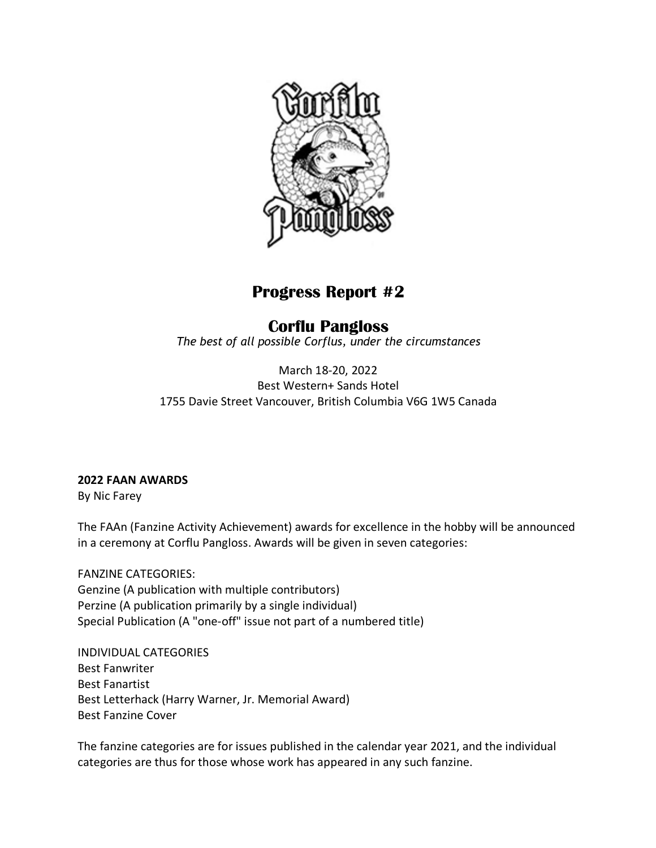

#### **Progress Report #2**

### **Corflu Pangloss**

*The best of all possible Corflus, under the circumstances*

March 18-20, 2022 Best Western+ Sands Hotel 1755 Davie Street Vancouver, British Columbia V6G 1W5 Canada

#### **2022 FAAN AWARDS**

By Nic Farey

The FAAn (Fanzine Activity Achievement) awards for excellence in the hobby will be announced in a ceremony at Corflu Pangloss. Awards will be given in seven categories:

FANZINE CATEGORIES: Genzine (A publication with multiple contributors) Perzine (A publication primarily by a single individual) Special Publication (A "one-off" issue not part of a numbered title)

INDIVIDUAL CATEGORIES Best Fanwriter Best Fanartist Best Letterhack (Harry Warner, Jr. Memorial Award) Best Fanzine Cover

The fanzine categories are for issues published in the calendar year 2021, and the individual categories are thus for those whose work has appeared in any such fanzine.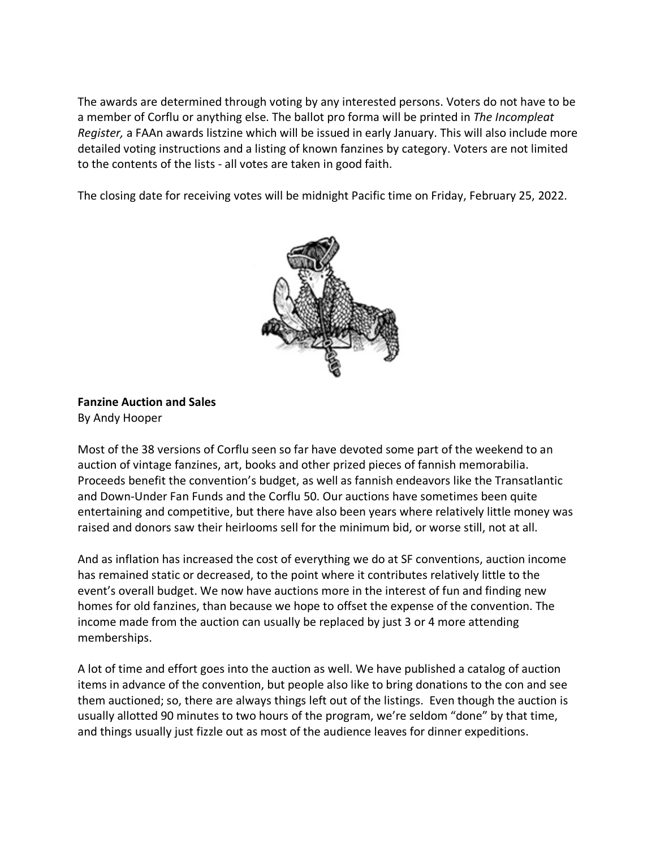The awards are determined through voting by any interested persons. Voters do not have to be a member of Corflu or anything else. The ballot pro forma will be printed in *The Incompleat Register,* a FAAn awards listzine which will be issued in early January. This will also include more detailed voting instructions and a listing of known fanzines by category. Voters are not limited to the contents of the lists - all votes are taken in good faith.

The closing date for receiving votes will be midnight Pacific time on Friday, February 25, 2022.



#### **Fanzine Auction and Sales** By Andy Hooper

Most of the 38 versions of Corflu seen so far have devoted some part of the weekend to an auction of vintage fanzines, art, books and other prized pieces of fannish memorabilia. Proceeds benefit the convention's budget, as well as fannish endeavors like the Transatlantic and Down-Under Fan Funds and the Corflu 50. Our auctions have sometimes been quite entertaining and competitive, but there have also been years where relatively little money was raised and donors saw their heirlooms sell for the minimum bid, or worse still, not at all.

And as inflation has increased the cost of everything we do at SF conventions, auction income has remained static or decreased, to the point where it contributes relatively little to the event's overall budget. We now have auctions more in the interest of fun and finding new homes for old fanzines, than because we hope to offset the expense of the convention. The income made from the auction can usually be replaced by just 3 or 4 more attending memberships.

A lot of time and effort goes into the auction as well. We have published a catalog of auction items in advance of the convention, but people also like to bring donations to the con and see them auctioned; so, there are always things left out of the listings. Even though the auction is usually allotted 90 minutes to two hours of the program, we're seldom "done" by that time, and things usually just fizzle out as most of the audience leaves for dinner expeditions.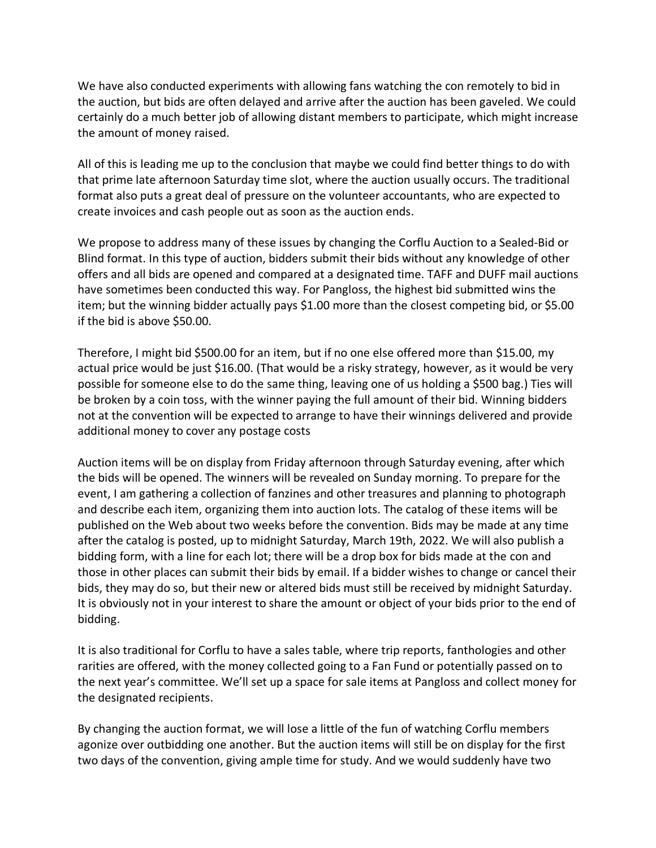We have also conducted experiments with allowing fans watching the con remotely to bid in the auction, but bids are often delayed and arrive after the auction has been gaveled. We could certainly do a much better job of allowing distant members to participate, which might increase the amount of money raised.

All of this is leading me up to the conclusion that maybe we could find better things to do with that prime late afternoon Saturday time slot, where the auction usually occurs. The traditional format also puts a great deal of pressure on the volunteer accountants, who are expected to create invoices and cash people out as soon as the auction ends.

We propose to address many of these issues by changing the Corflu Auction to a Sealed-Bid or Blind format. In this type of auction, bidders submit their bids without any knowledge of other offers and all bids are opened and compared at a designated time. TAFF and DUFF mail auctions have sometimes been conducted this way. For Pangloss, the highest bid submitted wins the item; but the winning bidder actually pays \$1.00 more than the closest competing bid, or \$5.00 if the bid is above \$50.00.

Therefore, I might bid \$500.00 for an item, but if no one else offered more than \$15.00, my actual price would be just \$16.00. (That would be a risky strategy, however, as it would be very possible for someone else to do the same thing, leaving one of us holding a \$500 bag.) Ties will be broken by a coin toss, with the winner paying the full amount of their bid. Winning bidders not at the convention will be expected to arrange to have their winnings delivered and provide additional money to cover any postage costs

Auction items will be on display from Friday afternoon through Saturday evening, after which the bids will be opened. The winners will be revealed on Sunday morning. To prepare for the event, I am gathering a collection of fanzines and other treasures and planning to photograph and describe each item, organizing them into auction lots. The catalog of these items will be published on the Web about two weeks before the convention. Bids may be made at any time after the catalog is posted, up to midnight Saturday, March 19th, 2022. We will also publish a bidding form, with a line for each lot; there will be a drop box for bids made at the con and those in other places can submit their bids by email. If a bidder wishes to change or cancel their bids, they may do so, but their new or altered bids must still be received by midnight Saturday. It is obviously not in your interest to share the amount or object of your bids prior to the end of bidding.

It is also traditional for Corflu to have a sales table, where trip reports, fanthologies and other rarities are offered, with the money collected going to a Fan Fund or potentially passed on to the next year's committee. We'll set up a space for sale items at Pangloss and collect money for the designated recipients.

By changing the auction format, we will lose a little of the fun of watching Corflu members agonize over outbidding one another. But the auction items will still be on display for the first two days of the convention, giving ample time for study. And we would suddenly have two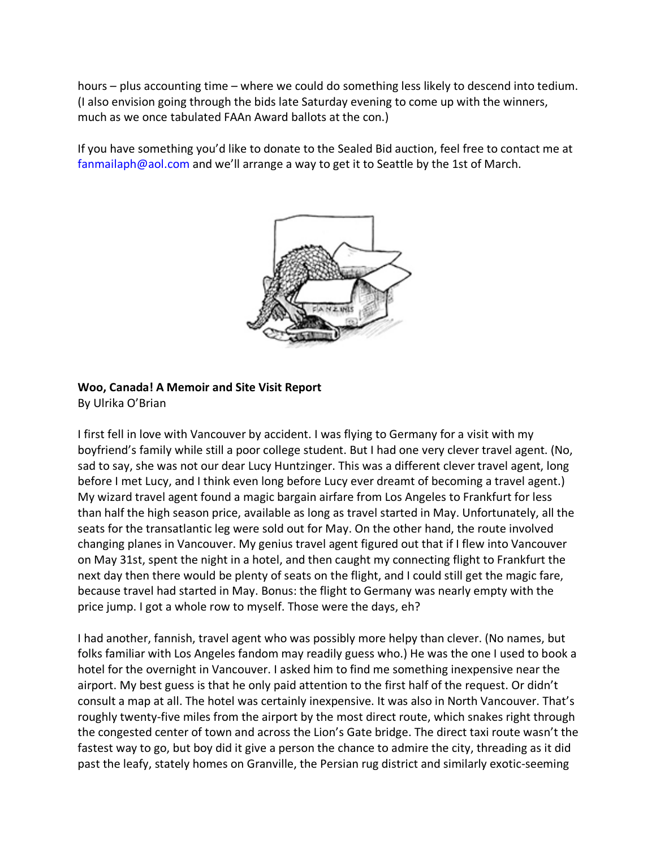hours – plus accounting time – where we could do something less likely to descend into tedium. (I also envision going through the bids late Saturday evening to come up with the winners, much as we once tabulated FAAn Award ballots at the con.)

If you have something you'd like to donate to the Sealed Bid auction, feel free to contact me at fanmailaph@aol.com and we'll arrange a way to get it to Seattle by the 1st of March.



#### **Woo, Canada! A Memoir and Site Visit Report**

By Ulrika O'Brian

I first fell in love with Vancouver by accident. I was flying to Germany for a visit with my boyfriend's family while still a poor college student. But I had one very clever travel agent. (No, sad to say, she was not our dear Lucy Huntzinger. This was a different clever travel agent, long before I met Lucy, and I think even long before Lucy ever dreamt of becoming a travel agent.) My wizard travel agent found a magic bargain airfare from Los Angeles to Frankfurt for less than half the high season price, available as long as travel started in May. Unfortunately, all the seats for the transatlantic leg were sold out for May. On the other hand, the route involved changing planes in Vancouver. My genius travel agent figured out that if I flew into Vancouver on May 31st, spent the night in a hotel, and then caught my connecting flight to Frankfurt the next day then there would be plenty of seats on the flight, and I could still get the magic fare, because travel had started in May. Bonus: the flight to Germany was nearly empty with the price jump. I got a whole row to myself. Those were the days, eh?

I had another, fannish, travel agent who was possibly more helpy than clever. (No names, but folks familiar with Los Angeles fandom may readily guess who.) He was the one I used to book a hotel for the overnight in Vancouver. I asked him to find me something inexpensive near the airport. My best guess is that he only paid attention to the first half of the request. Or didn't consult a map at all. The hotel was certainly inexpensive. It was also in North Vancouver. That's roughly twenty-five miles from the airport by the most direct route, which snakes right through the congested center of town and across the Lion's Gate bridge. The direct taxi route wasn't the fastest way to go, but boy did it give a person the chance to admire the city, threading as it did past the leafy, stately homes on Granville, the Persian rug district and similarly exotic-seeming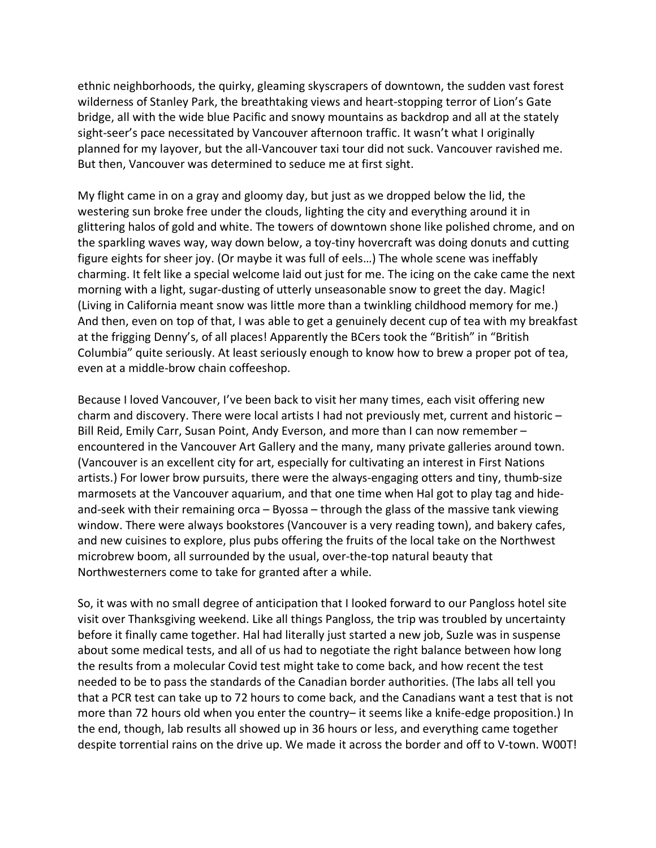ethnic neighborhoods, the quirky, gleaming skyscrapers of downtown, the sudden vast forest wilderness of Stanley Park, the breathtaking views and heart-stopping terror of Lion's Gate bridge, all with the wide blue Pacific and snowy mountains as backdrop and all at the stately sight-seer's pace necessitated by Vancouver afternoon traffic. It wasn't what I originally planned for my layover, but the all-Vancouver taxi tour did not suck. Vancouver ravished me. But then, Vancouver was determined to seduce me at first sight.

My flight came in on a gray and gloomy day, but just as we dropped below the lid, the westering sun broke free under the clouds, lighting the city and everything around it in glittering halos of gold and white. The towers of downtown shone like polished chrome, and on the sparkling waves way, way down below, a toy-tiny hovercraft was doing donuts and cutting figure eights for sheer joy. (Or maybe it was full of eels…) The whole scene was ineffably charming. It felt like a special welcome laid out just for me. The icing on the cake came the next morning with a light, sugar-dusting of utterly unseasonable snow to greet the day. Magic! (Living in California meant snow was little more than a twinkling childhood memory for me.) And then, even on top of that, I was able to get a genuinely decent cup of tea with my breakfast at the frigging Denny's, of all places! Apparently the BCers took the "British" in "British Columbia" quite seriously. At least seriously enough to know how to brew a proper pot of tea, even at a middle-brow chain coffeeshop.

Because I loved Vancouver, I've been back to visit her many times, each visit offering new charm and discovery. There were local artists I had not previously met, current and historic – Bill Reid, Emily Carr, Susan Point, Andy Everson, and more than I can now remember – encountered in the Vancouver Art Gallery and the many, many private galleries around town. (Vancouver is an excellent city for art, especially for cultivating an interest in First Nations artists.) For lower brow pursuits, there were the always-engaging otters and tiny, thumb-size marmosets at the Vancouver aquarium, and that one time when Hal got to play tag and hideand-seek with their remaining orca – Byossa – through the glass of the massive tank viewing window. There were always bookstores (Vancouver is a very reading town), and bakery cafes, and new cuisines to explore, plus pubs offering the fruits of the local take on the Northwest microbrew boom, all surrounded by the usual, over-the-top natural beauty that Northwesterners come to take for granted after a while.

So, it was with no small degree of anticipation that I looked forward to our Pangloss hotel site visit over Thanksgiving weekend. Like all things Pangloss, the trip was troubled by uncertainty before it finally came together. Hal had literally just started a new job, Suzle was in suspense about some medical tests, and all of us had to negotiate the right balance between how long the results from a molecular Covid test might take to come back, and how recent the test needed to be to pass the standards of the Canadian border authorities. (The labs all tell you that a PCR test can take up to 72 hours to come back, and the Canadians want a test that is not more than 72 hours old when you enter the country– it seems like a knife-edge proposition.) In the end, though, lab results all showed up in 36 hours or less, and everything came together despite torrential rains on the drive up. We made it across the border and off to V-town. W00T!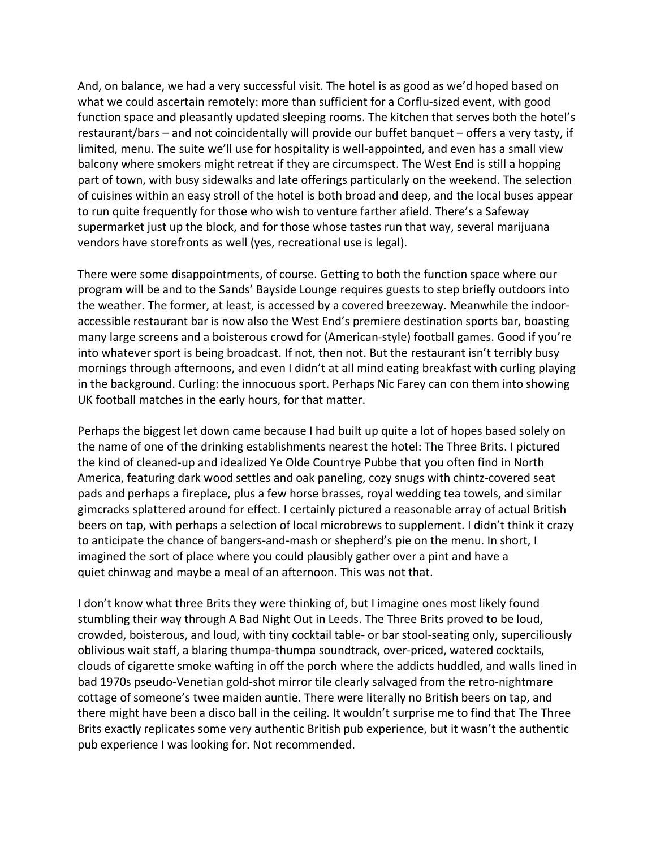And, on balance, we had a very successful visit. The hotel is as good as we'd hoped based on what we could ascertain remotely: more than sufficient for a Corflu-sized event, with good function space and pleasantly updated sleeping rooms. The kitchen that serves both the hotel's restaurant/bars – and not coincidentally will provide our buffet banquet – offers a very tasty, if limited, menu. The suite we'll use for hospitality is well-appointed, and even has a small view balcony where smokers might retreat if they are circumspect. The West End is still a hopping part of town, with busy sidewalks and late offerings particularly on the weekend. The selection of cuisines within an easy stroll of the hotel is both broad and deep, and the local buses appear to run quite frequently for those who wish to venture farther afield. There's a Safeway supermarket just up the block, and for those whose tastes run that way, several marijuana vendors have storefronts as well (yes, recreational use is legal).

There were some disappointments, of course. Getting to both the function space where our program will be and to the Sands' Bayside Lounge requires guests to step briefly outdoors into the weather. The former, at least, is accessed by a covered breezeway. Meanwhile the indooraccessible restaurant bar is now also the West End's premiere destination sports bar, boasting many large screens and a boisterous crowd for (American-style) football games. Good if you're into whatever sport is being broadcast. If not, then not. But the restaurant isn't terribly busy mornings through afternoons, and even I didn't at all mind eating breakfast with curling playing in the background. Curling: the innocuous sport. Perhaps Nic Farey can con them into showing UK football matches in the early hours, for that matter.

Perhaps the biggest let down came because I had built up quite a lot of hopes based solely on the name of one of the drinking establishments nearest the hotel: The Three Brits. I pictured the kind of cleaned-up and idealized Ye Olde Countrye Pubbe that you often find in North America, featuring dark wood settles and oak paneling, cozy snugs with chintz-covered seat pads and perhaps a fireplace, plus a few horse brasses, royal wedding tea towels, and similar gimcracks splattered around for effect. I certainly pictured a reasonable array of actual British beers on tap, with perhaps a selection of local microbrews to supplement. I didn't think it crazy to anticipate the chance of bangers-and-mash or shepherd's pie on the menu. In short, I imagined the sort of place where you could plausibly gather over a pint and have a quiet chinwag and maybe a meal of an afternoon. This was not that.

I don't know what three Brits they were thinking of, but I imagine ones most likely found stumbling their way through A Bad Night Out in Leeds. The Three Brits proved to be loud, crowded, boisterous, and loud, with tiny cocktail table- or bar stool-seating only, superciliously oblivious wait staff, a blaring thumpa-thumpa soundtrack, over-priced, watered cocktails, clouds of cigarette smoke wafting in off the porch where the addicts huddled, and walls lined in bad 1970s pseudo-Venetian gold-shot mirror tile clearly salvaged from the retro-nightmare cottage of someone's twee maiden auntie. There were literally no British beers on tap, and there might have been a disco ball in the ceiling. It wouldn't surprise me to find that The Three Brits exactly replicates some very authentic British pub experience, but it wasn't the authentic pub experience I was looking for. Not recommended.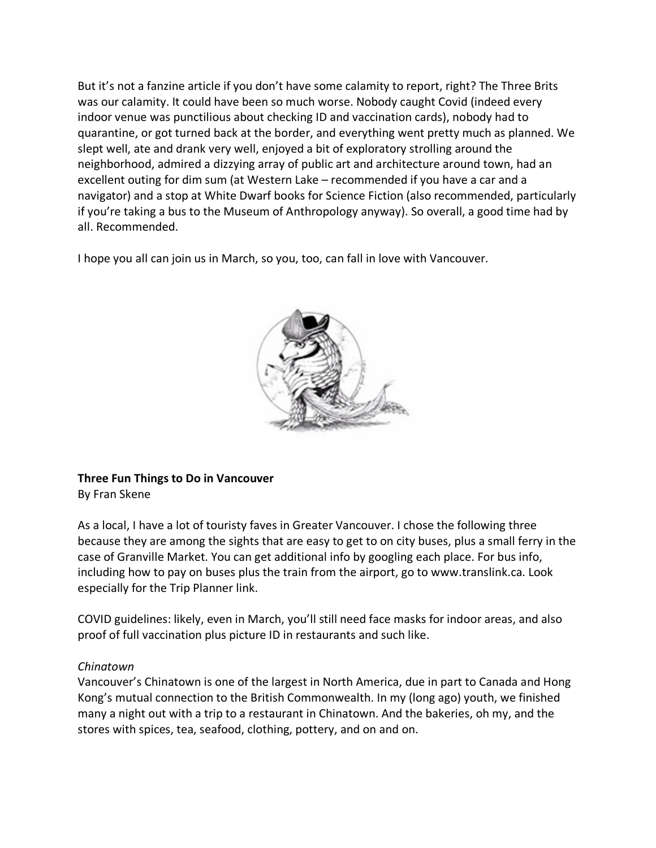But it's not a fanzine article if you don't have some calamity to report, right? The Three Brits was our calamity. It could have been so much worse. Nobody caught Covid (indeed every indoor venue was punctilious about checking ID and vaccination cards), nobody had to quarantine, or got turned back at the border, and everything went pretty much as planned. We slept well, ate and drank very well, enjoyed a bit of exploratory strolling around the neighborhood, admired a dizzying array of public art and architecture around town, had an excellent outing for dim sum (at Western Lake – recommended if you have a car and a navigator) and a stop at White Dwarf books for Science Fiction (also recommended, particularly if you're taking a bus to the Museum of Anthropology anyway). So overall, a good time had by all. Recommended.

I hope you all can join us in March, so you, too, can fall in love with Vancouver.



#### **Three Fun Things to Do in Vancouver** By Fran Skene

As a local, I have a lot of touristy faves in Greater Vancouver. I chose the following three because they are among the sights that are easy to get to on city buses, plus a small ferry in the case of Granville Market. You can get additional info by googling each place. For bus info, including how to pay on buses plus the train from the airport, go to www.translink.ca. Look especially for the Trip Planner link.

COVID guidelines: likely, even in March, you'll still need face masks for indoor areas, and also proof of full vaccination plus picture ID in restaurants and such like.

#### *Chinatown*

Vancouver's Chinatown is one of the largest in North America, due in part to Canada and Hong Kong's mutual connection to the British Commonwealth. In my (long ago) youth, we finished many a night out with a trip to a restaurant in Chinatown. And the bakeries, oh my, and the stores with spices, tea, seafood, clothing, pottery, and on and on.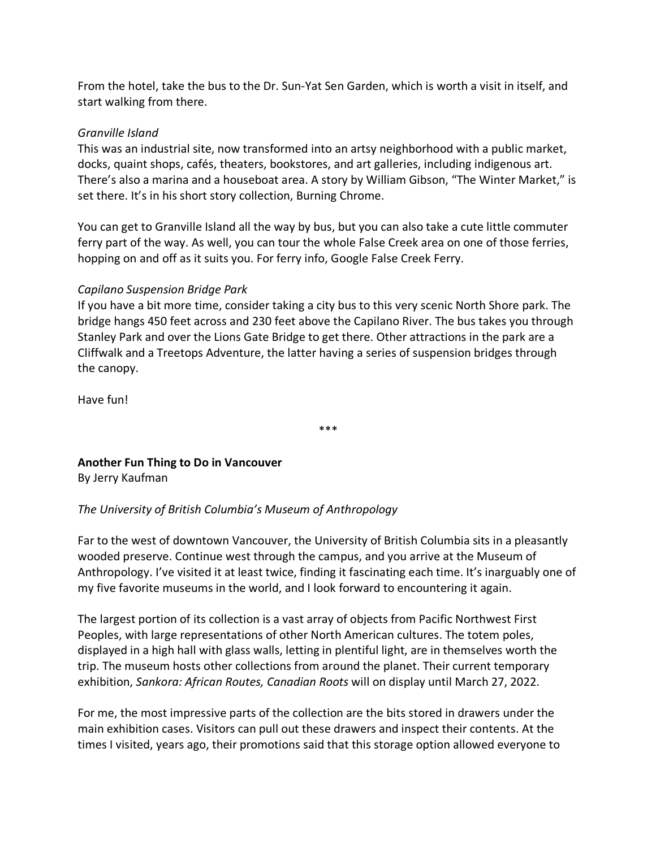From the hotel, take the bus to the Dr. Sun-Yat Sen Garden, which is worth a visit in itself, and start walking from there.

#### *Granville Island*

This was an industrial site, now transformed into an artsy neighborhood with a public market, docks, quaint shops, cafés, theaters, bookstores, and art galleries, including indigenous art. There's also a marina and a houseboat area. A story by William Gibson, "The Winter Market," is set there. It's in his short story collection, Burning Chrome.

You can get to Granville Island all the way by bus, but you can also take a cute little commuter ferry part of the way. As well, you can tour the whole False Creek area on one of those ferries, hopping on and off as it suits you. For ferry info, Google False Creek Ferry.

#### *Capilano Suspension Bridge Park*

If you have a bit more time, consider taking a city bus to this very scenic North Shore park. The bridge hangs 450 feet across and 230 feet above the Capilano River. The bus takes you through Stanley Park and over the Lions Gate Bridge to get there. Other attractions in the park are a Cliffwalk and a Treetops Adventure, the latter having a series of suspension bridges through the canopy.

Have fun!

\*\*\*

### **Another Fun Thing to Do in Vancouver**

By Jerry Kaufman

#### *The University of British Columbia's Museum of Anthropology*

Far to the west of downtown Vancouver, the University of British Columbia sits in a pleasantly wooded preserve. Continue west through the campus, and you arrive at the Museum of Anthropology. I've visited it at least twice, finding it fascinating each time. It's inarguably one of my five favorite museums in the world, and I look forward to encountering it again.

The largest portion of its collection is a vast array of objects from Pacific Northwest First Peoples, with large representations of other North American cultures. The totem poles, displayed in a high hall with glass walls, letting in plentiful light, are in themselves worth the trip. The museum hosts other collections from around the planet. Their current temporary exhibition, *Sankora: African Routes, Canadian Roots* will on display until March 27, 2022.

For me, the most impressive parts of the collection are the bits stored in drawers under the main exhibition cases. Visitors can pull out these drawers and inspect their contents. At the times I visited, years ago, their promotions said that this storage option allowed everyone to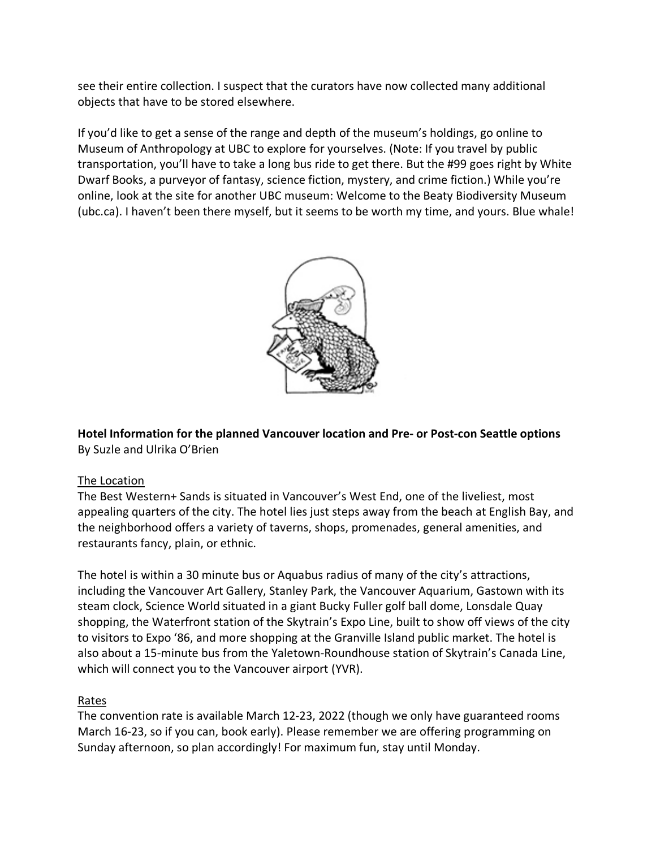see their entire collection. I suspect that the curators have now collected many additional objects that have to be stored elsewhere.

If you'd like to get a sense of the range and depth of the museum's holdings, go online to Museum of Anthropology at UBC to explore for yourselves. (Note: If you travel by public transportation, you'll have to take a long bus ride to get there. But the #99 goes right by White Dwarf Books, a purveyor of fantasy, science fiction, mystery, and crime fiction.) While you're online, look at the site for another UBC museum: Welcome to the Beaty Biodiversity Museum (ubc.ca). I haven't been there myself, but it seems to be worth my time, and yours. Blue whale!



**Hotel Information for the planned Vancouver location and Pre- or Post-con Seattle options** By Suzle and Ulrika O'Brien

#### The Location

The Best Western+ Sands is situated in Vancouver's West End, one of the liveliest, most appealing quarters of the city. The hotel lies just steps away from the beach at English Bay, and the neighborhood offers a variety of taverns, shops, promenades, general amenities, and restaurants fancy, plain, or ethnic.

The hotel is within a 30 minute bus or Aquabus radius of many of the city's attractions, including the Vancouver Art Gallery, Stanley Park, the Vancouver Aquarium, Gastown with its steam clock, Science World situated in a giant Bucky Fuller golf ball dome, Lonsdale Quay shopping, the Waterfront station of the Skytrain's Expo Line, built to show off views of the city to visitors to Expo '86, and more shopping at the Granville Island public market. The hotel is also about a 15-minute bus from the Yaletown-Roundhouse station of Skytrain's Canada Line, which will connect you to the Vancouver airport (YVR).

#### Rates

The convention rate is available March 12-23, 2022 (though we only have guaranteed rooms March 16-23, so if you can, book early). Please remember we are offering programming on Sunday afternoon, so plan accordingly! For maximum fun, stay until Monday.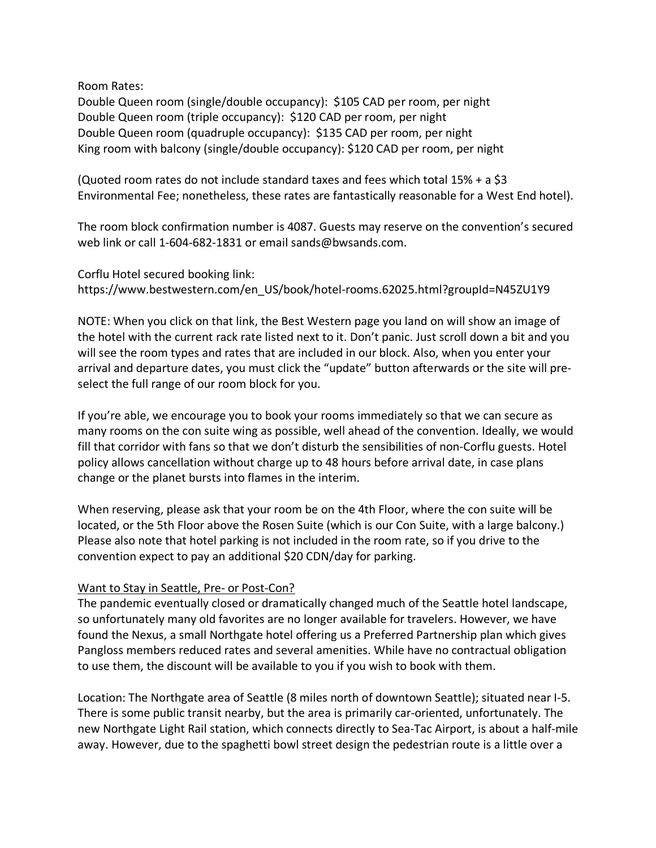Room Rates:

Double Queen room (single/double occupancy): \$105 CAD per room, per night Double Queen room (triple occupancy): \$120 CAD per room, per night Double Queen room (quadruple occupancy): \$135 CAD per room, per night King room with balcony (single/double occupancy): \$120 CAD per room, per night

(Quoted room rates do not include standard taxes and fees which total 15% + a \$3 Environmental Fee; nonetheless, these rates are fantastically reasonable for a West End hotel).

The room block confirmation number is 4087. Guests may reserve on the convention's secured web link or call 1-604-682-1831 or email sands@bwsands.com.

Corflu Hotel secured booking link: https://www.bestwestern.com/en\_US/book/hotel-rooms.62025.html?groupId=N45ZU1Y9

NOTE: When you click on that link, the Best Western page you land on will show an image of the hotel with the current rack rate listed next to it. Don't panic. Just scroll down a bit and you will see the room types and rates that are included in our block. Also, when you enter your arrival and departure dates, you must click the "update" button afterwards or the site will preselect the full range of our room block for you.

If you're able, we encourage you to book your rooms immediately so that we can secure as many rooms on the con suite wing as possible, well ahead of the convention. Ideally, we would fill that corridor with fans so that we don't disturb the sensibilities of non-Corflu guests. Hotel policy allows cancellation without charge up to 48 hours before arrival date, in case plans change or the planet bursts into flames in the interim.

When reserving, please ask that your room be on the 4th Floor, where the con suite will be located, or the 5th Floor above the Rosen Suite (which is our Con Suite, with a large balcony.) Please also note that hotel parking is not included in the room rate, so if you drive to the convention expect to pay an additional \$20 CDN/day for parking.

#### Want to Stay in Seattle, Pre- or Post-Con?

The pandemic eventually closed or dramatically changed much of the Seattle hotel landscape, so unfortunately many old favorites are no longer available for travelers. However, we have found the Nexus, a small Northgate hotel offering us a Preferred Partnership plan which gives Pangloss members reduced rates and several amenities. While have no contractual obligation to use them, the discount will be available to you if you wish to book with them.

Location: The Northgate area of Seattle (8 miles north of downtown Seattle); situated near I-5. There is some public transit nearby, but the area is primarily car-oriented, unfortunately. The new Northgate Light Rail station, which connects directly to Sea-Tac Airport, is about a half-mile away. However, due to the spaghetti bowl street design the pedestrian route is a little over a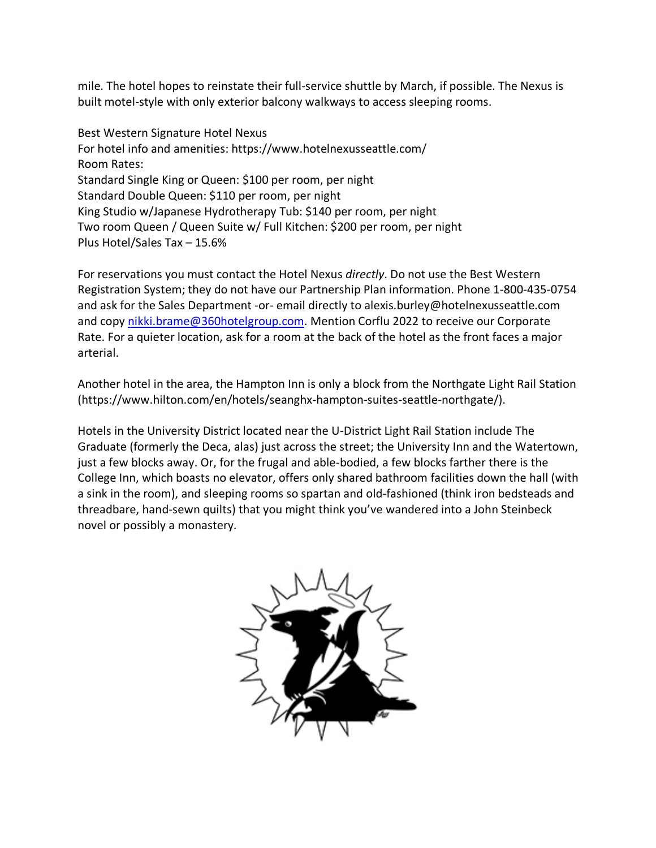mile. The hotel hopes to reinstate their full-service shuttle by March, if possible. The Nexus is built motel-style with only exterior balcony walkways to access sleeping rooms.

Best Western Signature Hotel Nexus For hotel info and amenities: https://www.hotelnexusseattle.com/ Room Rates: Standard Single King or Queen: \$100 per room, per night Standard Double Queen: \$110 per room, per night King Studio w/Japanese Hydrotherapy Tub: \$140 per room, per night Two room Queen / Queen Suite w/ Full Kitchen: \$200 per room, per night Plus Hotel/Sales Tax – 15.6%

For reservations you must contact the Hotel Nexus *directly*. Do not use the Best Western Registration System; they do not have our Partnership Plan information. Phone 1-800-435-0754 and ask for the Sales Department -or- email directly to alexis.burley@hotelnexusseattle.com and copy nikki.brame@360hotelgroup.com. Mention Corflu 2022 to receive our Corporate Rate. For a quieter location, ask for a room at the back of the hotel as the front faces a major arterial.

Another hotel in the area, the Hampton Inn is only a block from the Northgate Light Rail Station (https://www.hilton.com/en/hotels/seanghx-hampton-suites-seattle-northgate/).

Hotels in the University District located near the U-District Light Rail Station include The Graduate (formerly the Deca, alas) just across the street; the University Inn and the Watertown, just a few blocks away. Or, for the frugal and able-bodied, a few blocks farther there is the College Inn, which boasts no elevator, offers only shared bathroom facilities down the hall (with a sink in the room), and sleeping rooms so spartan and old-fashioned (think iron bedsteads and threadbare, hand-sewn quilts) that you might think you've wandered into a John Steinbeck novel or possibly a monastery.